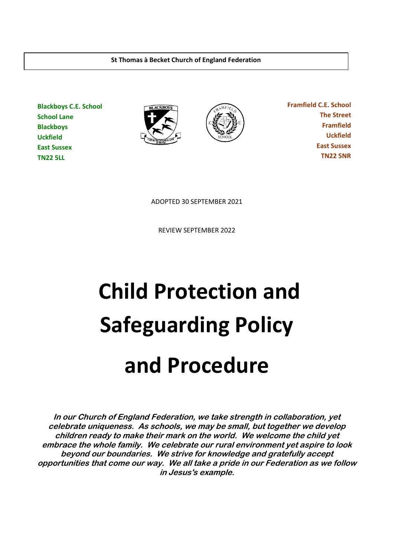**St Thomas à Becket Church of England Federation**

**Blackboys C.E. School School Lane Blackboys Uckfield East Sussex TN22 5LL**





 **Framfield C.E. School The Street Framfield Uckfield East Sussex TN22 5NR**

ADOPTED 30 SEPTEMBER 2021

REVIEW SEPTEMBER 2022

# **Child Protection and Safeguarding Policy and Procedure**

**In our Church of England Federation, we take strength in collaboration, yet celebrate uniqueness. As schools, we may be small, but together we develop children ready to make their mark on the world. We welcome the child yet embrace the whole family. We celebrate our rural environment yet aspire to look beyond our boundaries. We strive for knowledge and gratefully accept opportunities that come our way. We all take a pride in our Federation as we follow in Jesus's example.**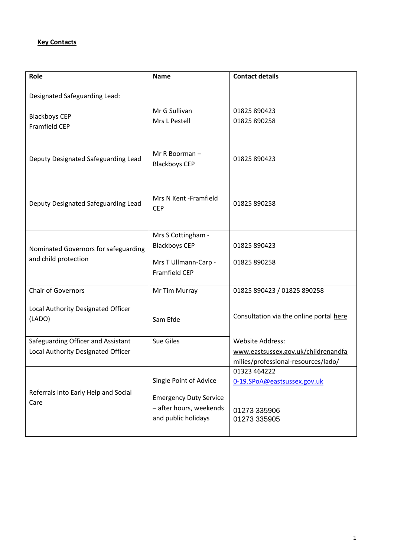#### **Key Contacts**

| Role                                                                     | <b>Name</b>                                                                                | <b>Contact details</b>                                                                                |
|--------------------------------------------------------------------------|--------------------------------------------------------------------------------------------|-------------------------------------------------------------------------------------------------------|
| Designated Safeguarding Lead:                                            |                                                                                            |                                                                                                       |
| <b>Blackboys CEP</b><br><b>Framfield CEP</b>                             | Mr G Sullivan<br>Mrs L Pestell                                                             | 01825 890423<br>01825 890258                                                                          |
| Deputy Designated Safeguarding Lead                                      | Mr R Boorman $-$<br><b>Blackboys CEP</b>                                                   | 01825 890423                                                                                          |
| Deputy Designated Safeguarding Lead                                      | Mrs N Kent -Framfield<br><b>CEP</b>                                                        | 01825 890258                                                                                          |
| Nominated Governors for safeguarding<br>and child protection             | Mrs S Cottingham -<br><b>Blackboys CEP</b><br>Mrs T Ullmann-Carp -<br><b>Framfield CEP</b> | 01825 890423<br>01825 890258                                                                          |
| <b>Chair of Governors</b>                                                | Mr Tim Murray                                                                              | 01825 890423 / 01825 890258                                                                           |
| Local Authority Designated Officer<br>(LADO)                             | Sam Efde                                                                                   | Consultation via the online portal here                                                               |
| Safeguarding Officer and Assistant<br>Local Authority Designated Officer | <b>Sue Giles</b>                                                                           | <b>Website Address:</b><br>www.eastsussex.gov.uk/childrenandfa<br>milies/professional-resources/lado/ |
| Referrals into Early Help and Social                                     | Single Point of Advice                                                                     | 01323 464222<br>0-19.SPoA@eastsussex.gov.uk                                                           |
| Care                                                                     | <b>Emergency Duty Service</b><br>- after hours, weekends<br>and public holidays            | 01273 335906<br>01273 335905                                                                          |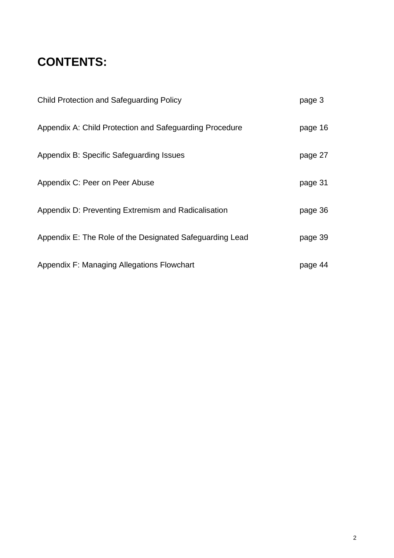# **CONTENTS:**

| <b>Child Protection and Safeguarding Policy</b>          | page 3  |
|----------------------------------------------------------|---------|
| Appendix A: Child Protection and Safeguarding Procedure  | page 16 |
| Appendix B: Specific Safeguarding Issues                 | page 27 |
| Appendix C: Peer on Peer Abuse                           | page 31 |
| Appendix D: Preventing Extremism and Radicalisation      | page 36 |
| Appendix E: The Role of the Designated Safeguarding Lead | page 39 |
| Appendix F: Managing Allegations Flowchart               | page 44 |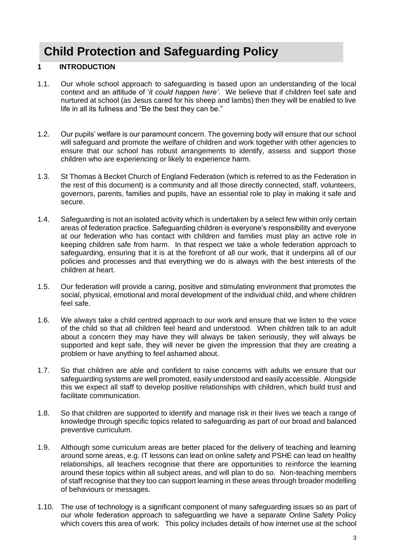# **Child Protection and Safeguarding Policy**

#### **1 INTRODUCTION**

- 1.1. Our whole school approach to safeguarding is based upon an understanding of the local context and an attitude of '*it could happen here'*. We believe that if children feel safe and nurtured at school (as Jesus cared for his sheep and lambs) then they will be enabled to live life in all its fullness and "Be the best they can be."
- 1.2. Our pupils' welfare is our paramount concern. The governing body will ensure that our school will safeguard and promote the welfare of children and work together with other agencies to ensure that our school has robust arrangements to identify, assess and support those children who are experiencing or likely to experience harm.
- 1.3. St Thomas à Becket Church of England Federation (which is referred to as the Federation in the rest of this document) is a community and all those directly connected, staff, volunteers, governors, parents, families and pupils, have an essential role to play in making it safe and secure.
- 1.4. Safeguarding is not an isolated activity which is undertaken by a select few within only certain areas of federation practice. Safeguarding children is everyone's responsibility and everyone at our federation who has contact with children and families must play an active role in keeping children safe from harm. In that respect we take a whole federation approach to safeguarding, ensuring that it is at the forefront of all our work, that it underpins all of our policies and processes and that everything we do is always with the best interests of the children at heart.
- 1.5. Our federation will provide a caring, positive and stimulating environment that promotes the social, physical, emotional and moral development of the individual child, and where children feel safe.
- 1.6. We always take a child centred approach to our work and ensure that we listen to the voice of the child so that all children feel heard and understood. When children talk to an adult about a concern they may have they will always be taken seriously, they will always be supported and kept safe, they will never be given the impression that they are creating a problem or have anything to feel ashamed about.
- 1.7. So that children are able and confident to raise concerns with adults we ensure that our safeguarding systems are well promoted, easily understood and easily accessible. Alongside this we expect all staff to develop positive relationships with children, which build trust and facilitate communication.
- 1.8. So that children are supported to identify and manage risk in their lives we teach a range of knowledge through specific topics related to safeguarding as part of our broad and balanced preventive curriculum.
- 1.9. Although some curriculum areas are better placed for the delivery of teaching and learning around some areas, e.g. IT lessons can lead on online safety and PSHE can lead on healthy relationships, all teachers recognise that there are opportunities to reinforce the learning around these topics within all subject areas, and will plan to do so. Non-teaching members of staff recognise that they too can support learning in these areas through broader modelling of behaviours or messages.
- 1.10. The use of technology is a significant component of many safeguarding issues so as part of our whole federation approach to safeguarding we have a separate Online Safety Policy which covers this area of work. This policy includes details of how internet use at the school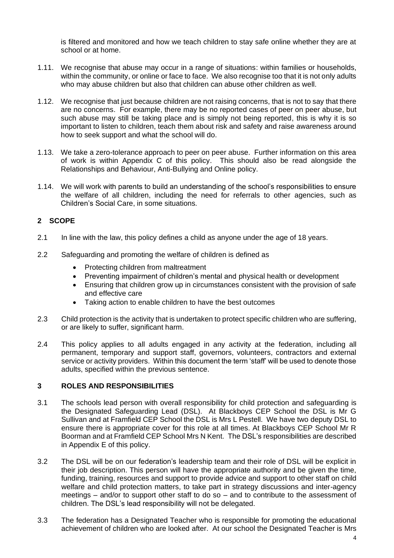is filtered and monitored and how we teach children to stay safe online whether they are at school or at home.

- 1.11. We recognise that abuse may occur in a range of situations: within families or households, within the community, or online or face to face. We also recognise too that it is not only adults who may abuse children but also that children can abuse other children as well.
- 1.12. We recognise that just because children are not raising concerns, that is not to say that there are no concerns. For example, there may be no reported cases of peer on peer abuse, but such abuse may still be taking place and is simply not being reported, this is why it is so important to listen to children, teach them about risk and safety and raise awareness around how to seek support and what the school will do.
- 1.13. We take a zero-tolerance approach to peer on peer abuse. Further information on this area of work is within Appendix C of this policy. This should also be read alongside the Relationships and Behaviour, Anti-Bullying and Online policy.
- 1.14. We will work with parents to build an understanding of the school's responsibilities to ensure the welfare of all children, including the need for referrals to other agencies, such as Children's Social Care, in some situations.

#### **2 SCOPE**

- 2.1 In line with the law, this policy defines a child as anyone under the age of 18 years.
- 2.2 Safeguarding and promoting the welfare of children is defined as
	- Protecting children from maltreatment
	- Preventing impairment of children's mental and physical health or development
	- Ensuring that children grow up in circumstances consistent with the provision of safe and effective care
	- Taking action to enable children to have the best outcomes
- 2.3 Child protection is the activity that is undertaken to protect specific children who are suffering, or are likely to suffer, significant harm.
- 2.4 This policy applies to all adults engaged in any activity at the federation, including all permanent, temporary and support staff, governors, volunteers, contractors and external service or activity providers. Within this document the term 'staff' will be used to denote those adults, specified within the previous sentence.

#### **3 ROLES AND RESPONSIBILITIES**

- 3.1 The schools lead person with overall responsibility for child protection and safeguarding is the Designated Safeguarding Lead (DSL). At Blackboys CEP School the DSL is Mr G Sullivan and at Framfield CEP School the DSL is Mrs L Pestell. We have two deputy DSL to ensure there is appropriate cover for this role at all times. At Blackboys CEP School Mr R Boorman and at Framfield CEP School Mrs N Kent. The DSL's responsibilities are described in Appendix E of this policy.
- 3.2 The DSL will be on our federation's leadership team and their role of DSL will be explicit in their job description. This person will have the appropriate authority and be given the time, funding, training, resources and support to provide advice and support to other staff on child welfare and child protection matters, to take part in strategy discussions and inter-agency meetings – and/or to support other staff to do so – and to contribute to the assessment of children. The DSL's lead responsibility will not be delegated.
- 3.3 The federation has a Designated Teacher who is responsible for promoting the educational achievement of children who are looked after. At our school the Designated Teacher is Mrs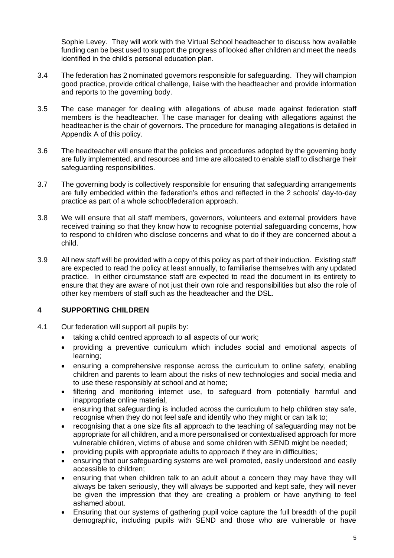Sophie Levey. They will work with the Virtual School headteacher to discuss how available funding can be best used to support the progress of looked after children and meet the needs identified in the child's personal education plan.

- 3.4 The federation has 2 nominated governors responsible for safeguarding. They will champion good practice, provide critical challenge, liaise with the headteacher and provide information and reports to the governing body.
- 3.5 The case manager for dealing with allegations of abuse made against federation staff members is the headteacher. The case manager for dealing with allegations against the headteacher is the chair of governors. The procedure for managing allegations is detailed in Appendix A of this policy.
- 3.6 The headteacher will ensure that the policies and procedures adopted by the governing body are fully implemented, and resources and time are allocated to enable staff to discharge their safeguarding responsibilities.
- 3.7 The governing body is collectively responsible for ensuring that safeguarding arrangements are fully embedded within the federation's ethos and reflected in the 2 schools' day-to-day practice as part of a whole school/federation approach.
- 3.8 We will ensure that all staff members, governors, volunteers and external providers have received training so that they know how to recognise potential safeguarding concerns, how to respond to children who disclose concerns and what to do if they are concerned about a child.
- 3.9 All new staff will be provided with a copy of this policy as part of their induction. Existing staff are expected to read the policy at least annually, to familiarise themselves with any updated practice. In either circumstance staff are expected to read the document in its entirety to ensure that they are aware of not just their own role and responsibilities but also the role of other key members of staff such as the headteacher and the DSL.

#### **4 SUPPORTING CHILDREN**

- 4.1 Our federation will support all pupils by:
	- taking a child centred approach to all aspects of our work;
	- providing a preventive curriculum which includes social and emotional aspects of learning;
	- ensuring a comprehensive response across the curriculum to online safety, enabling children and parents to learn about the risks of new technologies and social media and to use these responsibly at school and at home;
	- filtering and monitoring internet use, to safeguard from potentially harmful and inappropriate online material,
	- ensuring that safeguarding is included across the curriculum to help children stay safe, recognise when they do not feel safe and identify who they might or can talk to;
	- recognising that a one size fits all approach to the teaching of safeguarding may not be appropriate for all children, and a more personalised or contextualised approach for more vulnerable children, victims of abuse and some children with SEND might be needed;
	- providing pupils with appropriate adults to approach if they are in difficulties;
	- ensuring that our safeguarding systems are well promoted, easily understood and easily accessible to children;
	- ensuring that when children talk to an adult about a concern they may have they will always be taken seriously, they will always be supported and kept safe, they will never be given the impression that they are creating a problem or have anything to feel ashamed about.
	- Ensuring that our systems of gathering pupil voice capture the full breadth of the pupil demographic, including pupils with SEND and those who are vulnerable or have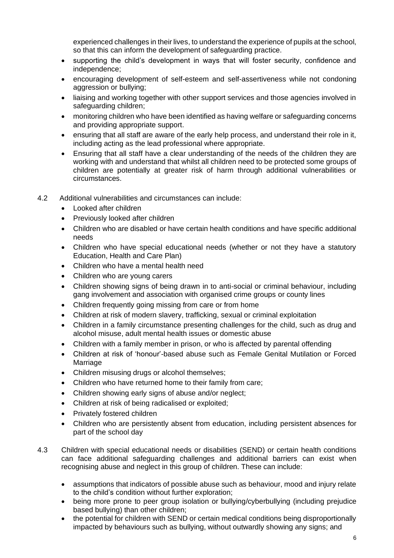experienced challenges in their lives, to understand the experience of pupils at the school, so that this can inform the development of safeguarding practice.

- supporting the child's development in ways that will foster security, confidence and independence;
- encouraging development of self-esteem and self-assertiveness while not condoning aggression or bullying;
- liaising and working together with other support services and those agencies involved in safeguarding children;
- monitoring children who have been identified as having welfare or safeguarding concerns and providing appropriate support.
- ensuring that all staff are aware of the early help process, and understand their role in it, including acting as the lead professional where appropriate.
- Ensuring that all staff have a clear understanding of the needs of the children they are working with and understand that whilst all children need to be protected some groups of children are potentially at greater risk of harm through additional vulnerabilities or circumstances.
- 4.2 Additional vulnerabilities and circumstances can include:
	- Looked after children
	- Previously looked after children
	- Children who are disabled or have certain health conditions and have specific additional needs
	- Children who have special educational needs (whether or not they have a statutory Education, Health and Care Plan)
	- Children who have a mental health need
	- Children who are young carers
	- Children showing signs of being drawn in to anti-social or criminal behaviour, including gang involvement and association with organised crime groups or county lines
	- Children frequently going missing from care or from home
	- Children at risk of modern slavery, trafficking, sexual or criminal exploitation
	- Children in a family circumstance presenting challenges for the child, such as drug and alcohol misuse, adult mental health issues or domestic abuse
	- Children with a family member in prison, or who is affected by parental offending
	- Children at risk of 'honour'-based abuse such as Female Genital Mutilation or Forced Marriage
	- Children misusing drugs or alcohol themselves;
	- Children who have returned home to their family from care;
	- Children showing early signs of abuse and/or neglect;
	- Children at risk of being radicalised or exploited;
	- Privately fostered children
	- Children who are persistently absent from education, including persistent absences for part of the school day
- 4.3 Children with special educational needs or disabilities (SEND) or certain health conditions can face additional safeguarding challenges and additional barriers can exist when recognising abuse and neglect in this group of children. These can include:
	- assumptions that indicators of possible abuse such as behaviour, mood and injury relate to the child's condition without further exploration;
	- being more prone to peer group isolation or bullying/cyberbullying (including prejudice based bullying) than other children;
	- the potential for children with SEND or certain medical conditions being disproportionally impacted by behaviours such as bullying, without outwardly showing any signs; and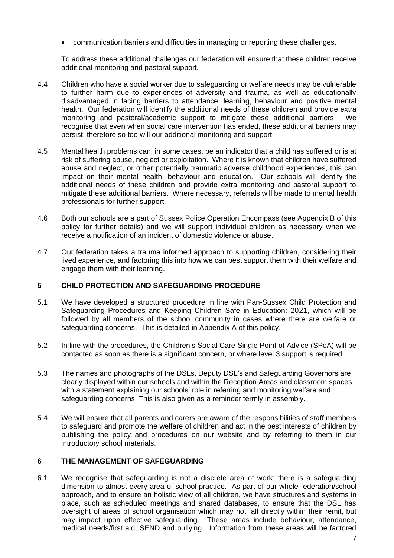• communication barriers and difficulties in managing or reporting these challenges.

To address these additional challenges our federation will ensure that these children receive additional monitoring and pastoral support.

- 4.4 Children who have a social worker due to safeguarding or welfare needs may be vulnerable to further harm due to experiences of adversity and trauma, as well as educationally disadvantaged in facing barriers to attendance, learning, behaviour and positive mental health. Our federation will identify the additional needs of these children and provide extra monitoring and pastoral/academic support to mitigate these additional barriers. We recognise that even when social care intervention has ended, these additional barriers may persist, therefore so too will our additional monitoring and support.
- 4.5 Mental health problems can, in some cases, be an indicator that a child has suffered or is at risk of suffering abuse, neglect or exploitation. Where it is known that children have suffered abuse and neglect, or other potentially traumatic adverse childhood experiences, this can impact on their mental health, behaviour and education. Our schools will identify the additional needs of these children and provide extra monitoring and pastoral support to mitigate these additional barriers. Where necessary, referrals will be made to mental health professionals for further support.
- 4.6 Both our schools are a part of Sussex Police Operation Encompass (see Appendix B of this policy for further details) and we will support individual children as necessary when we receive a notification of an incident of domestic violence or abuse.
- 4.7 Our federation takes a trauma informed approach to supporting children, considering their lived experience, and factoring this into how we can best support them with their welfare and engage them with their learning.

#### **5 CHILD PROTECTION AND SAFEGUARDING PROCEDURE**

- 5.1 We have developed a structured procedure in line with Pan-Sussex Child Protection and Safeguarding Procedures and Keeping Children Safe in Education: 2021, which will be followed by all members of the school community in cases where there are welfare or safeguarding concerns. This is detailed in Appendix A of this policy.
- 5.2 In line with the procedures, the Children's Social Care Single Point of Advice (SPoA) will be contacted as soon as there is a significant concern, or where level 3 support is required.
- 5.3 The names and photographs of the DSLs, Deputy DSL's and Safeguarding Governors are clearly displayed within our schools and within the Reception Areas and classroom spaces with a statement explaining our schools' role in referring and monitoring welfare and safeguarding concerns. This is also given as a reminder termly in assembly.
- 5.4 We will ensure that all parents and carers are aware of the responsibilities of staff members to safeguard and promote the welfare of children and act in the best interests of children by publishing the policy and procedures on our website and by referring to them in our introductory school materials.

#### **6 THE MANAGEMENT OF SAFEGUARDING**

6.1 We recognise that safeguarding is not a discrete area of work: there is a safeguarding dimension to almost every area of school practice. As part of our whole federation/school approach, and to ensure an holistic view of all children, we have structures and systems in place, such as scheduled meetings and shared databases, to ensure that the DSL has oversight of areas of school organisation which may not fall directly within their remit, but may impact upon effective safeguarding. These areas include behaviour, attendance, medical needs/first aid, SEND and bullying. Information from these areas will be factored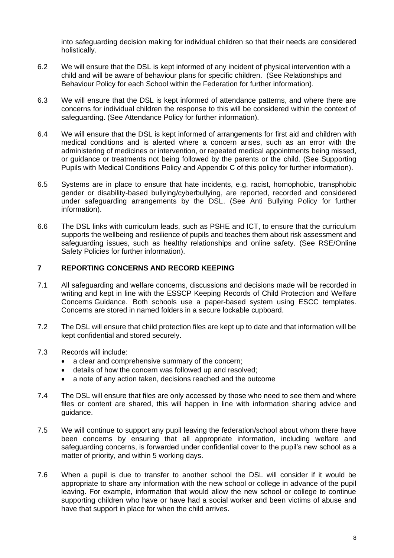into safeguarding decision making for individual children so that their needs are considered holistically.

- 6.2 We will ensure that the DSL is kept informed of any incident of physical intervention with a child and will be aware of behaviour plans for specific children. (See Relationships and Behaviour Policy for each School within the Federation for further information).
- 6.3 We will ensure that the DSL is kept informed of attendance patterns, and where there are concerns for individual children the response to this will be considered within the context of safeguarding. (See Attendance Policy for further information).
- 6.4 We will ensure that the DSL is kept informed of arrangements for first aid and children with medical conditions and is alerted where a concern arises, such as an error with the administering of medicines or intervention, or repeated medical appointments being missed, or guidance or treatments not being followed by the parents or the child. (See Supporting Pupils with Medical Conditions Policy and Appendix C of this policy for further information).
- 6.5 Systems are in place to ensure that hate incidents, e.g. racist, homophobic, transphobic gender or disability-based bullying/cyberbullying, are reported, recorded and considered under safeguarding arrangements by the DSL. (See Anti Bullying Policy for further information).
- 6.6 The DSL links with curriculum leads, such as PSHE and ICT, to ensure that the curriculum supports the wellbeing and resilience of pupils and teaches them about risk assessment and safeguarding issues, such as healthy relationships and online safety. (See RSE/Online Safety Policies for further information).

#### **7 REPORTING CONCERNS AND RECORD KEEPING**

- 7.1 All safeguarding and welfare concerns, discussions and decisions made will be recorded in writing and kept in line with the ESSCP Keeping Records of Child Protection and Welfare Concerns Guidance. Both schools use a paper-based system using ESCC templates. Concerns are stored in named folders in a secure lockable cupboard.
- 7.2 The DSL will ensure that child protection files are kept up to date and that information will be kept confidential and stored securely.
- 7.3 Records will include:
	- a clear and comprehensive summary of the concern;
	- details of how the concern was followed up and resolved;
	- a note of any action taken, decisions reached and the outcome
- 7.4 The DSL will ensure that files are only accessed by those who need to see them and where files or content are shared, this will happen in line with information sharing advice and guidance.
- 7.5 We will continue to support any pupil leaving the federation/school about whom there have been concerns by ensuring that all appropriate information, including welfare and safeguarding concerns, is forwarded under confidential cover to the pupil's new school as a matter of priority, and within 5 working days.
- 7.6 When a pupil is due to transfer to another school the DSL will consider if it would be appropriate to share any information with the new school or college in advance of the pupil leaving. For example, information that would allow the new school or college to continue supporting children who have or have had a social worker and been victims of abuse and have that support in place for when the child arrives.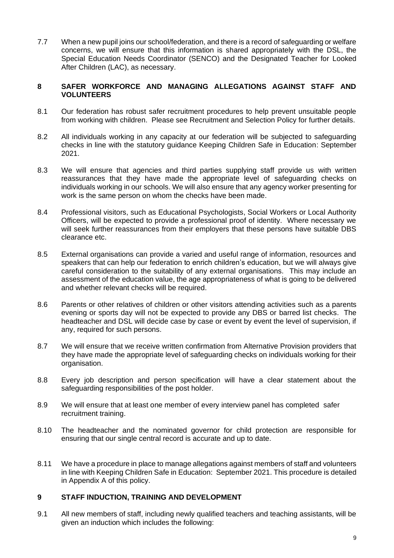7.7 When a new pupil joins our school/federation, and there is a record of safeguarding or welfare concerns, we will ensure that this information is shared appropriately with the DSL, the Special Education Needs Coordinator (SENCO) and the Designated Teacher for Looked After Children (LAC), as necessary.

#### **8 SAFER WORKFORCE AND MANAGING ALLEGATIONS AGAINST STAFF AND VOLUNTEERS**

- 8.1 Our federation has robust safer recruitment procedures to help prevent unsuitable people from working with children. Please see Recruitment and Selection Policy for further details.
- 8.2 All individuals working in any capacity at our federation will be subjected to safeguarding checks in line with the statutory guidance Keeping Children Safe in Education: September 2021.
- 8.3 We will ensure that agencies and third parties supplying staff provide us with written reassurances that they have made the appropriate level of safeguarding checks on individuals working in our schools. We will also ensure that any agency worker presenting for work is the same person on whom the checks have been made.
- 8.4 Professional visitors, such as Educational Psychologists, Social Workers or Local Authority Officers, will be expected to provide a professional proof of identity. Where necessary we will seek further reassurances from their employers that these persons have suitable DBS clearance etc.
- 8.5 External organisations can provide a varied and useful range of information, resources and speakers that can help our federation to enrich children's education, but we will always give careful consideration to the suitability of any external organisations. This may include an assessment of the education value, the age appropriateness of what is going to be delivered and whether relevant checks will be required.
- 8.6 Parents or other relatives of children or other visitors attending activities such as a parents evening or sports day will not be expected to provide any DBS or barred list checks. The headteacher and DSL will decide case by case or event by event the level of supervision, if any, required for such persons.
- 8.7 We will ensure that we receive written confirmation from Alternative Provision providers that they have made the appropriate level of safeguarding checks on individuals working for their organisation.
- 8.8 Every job description and person specification will have a clear statement about the safeguarding responsibilities of the post holder.
- 8.9 We will ensure that at least one member of every interview panel has completed safer recruitment training.
- 8.10 The headteacher and the nominated governor for child protection are responsible for ensuring that our single central record is accurate and up to date.
- 8.11 We have a procedure in place to manage allegations against members of staff and volunteers in line with Keeping Children Safe in Education: September 2021. This procedure is detailed in Appendix A of this policy.

#### **9 STAFF INDUCTION, TRAINING AND DEVELOPMENT**

9.1 All new members of staff, including newly qualified teachers and teaching assistants, will be given an induction which includes the following: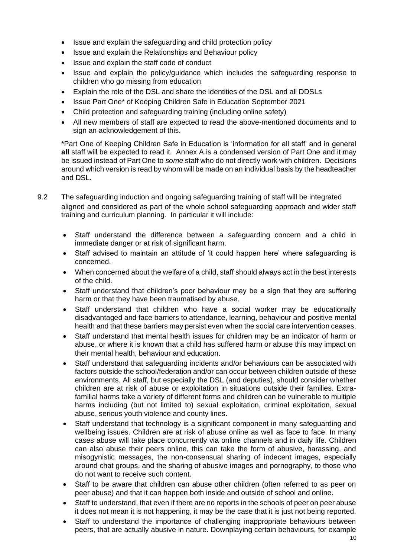- Issue and explain the safeguarding and child protection policy
- Issue and explain the Relationships and Behaviour policy
- Issue and explain the staff code of conduct
- Issue and explain the policy/guidance which includes the safeguarding response to children who go missing from education
- Explain the role of the DSL and share the identities of the DSL and all DDSLs
- Issue Part One\* of Keeping Children Safe in Education September 2021
- Child protection and safeguarding training (including online safety)
- All new members of staff are expected to read the above-mentioned documents and to sign an acknowledgement of this.

\*Part One of Keeping Children Safe in Education is 'information for all staff' and in general **all** staff will be expected to read it. Annex A is a condensed version of Part One and it may be issued instead of Part One to *some* staff who do not directly work with children. Decisions around which version is read by whom will be made on an individual basis by the headteacher and DSL.

- 9.2 The safeguarding induction and ongoing safeguarding training of staff will be integrated aligned and considered as part of the whole school safeguarding approach and wider staff training and curriculum planning. In particular it will include:
	- Staff understand the difference between a safeguarding concern and a child in immediate danger or at risk of significant harm.
	- Staff advised to maintain an attitude of 'it could happen here' where safeguarding is concerned.
	- When concerned about the welfare of a child, staff should always act in the best interests of the child.
	- Staff understand that children's poor behaviour may be a sign that they are suffering harm or that they have been traumatised by abuse.
	- Staff understand that children who have a social worker may be educationally disadvantaged and face barriers to attendance, learning, behaviour and positive mental health and that these barriers may persist even when the social care intervention ceases.
	- Staff understand that mental health issues for children may be an indicator of harm or abuse, or where it is known that a child has suffered harm or abuse this may impact on their mental health, behaviour and education.
	- Staff understand that safeguarding incidents and/or behaviours can be associated with factors outside the school/federation and/or can occur between children outside of these environments. All staff, but especially the DSL (and deputies), should consider whether children are at risk of abuse or exploitation in situations outside their families. Extrafamilial harms take a variety of different forms and children can be vulnerable to multiple harms including (but not limited to) sexual exploitation, criminal exploitation, sexual abuse, serious youth violence and county lines.
	- Staff understand that technology is a significant component in many safeguarding and wellbeing issues. Children are at risk of abuse online as well as face to face. In many cases abuse will take place concurrently via online channels and in daily life. Children can also abuse their peers online, this can take the form of abusive, harassing, and misogynistic messages, the non-consensual sharing of indecent images, especially around chat groups, and the sharing of abusive images and pornography, to those who do not want to receive such content.
	- Staff to be aware that children can abuse other children (often referred to as peer on peer abuse) and that it can happen both inside and outside of school and online.
	- Staff to understand, that even if there are no reports in the schools of peer on peer abuse it does not mean it is not happening, it may be the case that it is just not being reported.
	- Staff to understand the importance of challenging inappropriate behaviours between peers, that are actually abusive in nature. Downplaying certain behaviours, for example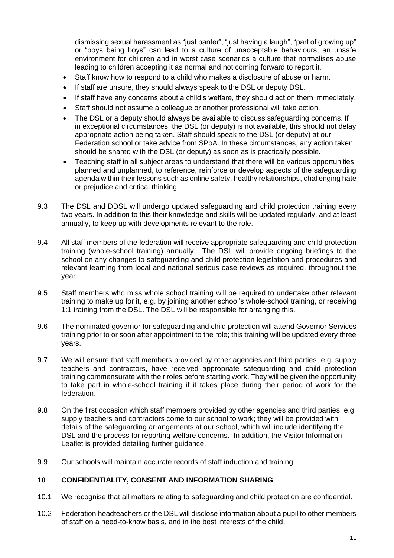dismissing sexual harassment as "just banter", "just having a laugh", "part of growing up" or "boys being boys" can lead to a culture of unacceptable behaviours, an unsafe environment for children and in worst case scenarios a culture that normalises abuse leading to children accepting it as normal and not coming forward to report it.

- Staff know how to respond to a child who makes a disclosure of abuse or harm.
- If staff are unsure, they should always speak to the DSL or deputy DSL.
- If staff have any concerns about a child's welfare, they should act on them immediately.
- Staff should not assume a colleague or another professional will take action.
- The DSL or a deputy should always be available to discuss safeguarding concerns. If in exceptional circumstances, the DSL (or deputy) is not available, this should not delay appropriate action being taken. Staff should speak to the DSL (or deputy) at our Federation school or take advice from SPoA. In these circumstances, any action taken should be shared with the DSL (or deputy) as soon as is practically possible.
- Teaching staff in all subject areas to understand that there will be various opportunities, planned and unplanned, to reference, reinforce or develop aspects of the safeguarding agenda within their lessons such as online safety, healthy relationships, challenging hate or prejudice and critical thinking.
- 9.3 The DSL and DDSL will undergo updated safeguarding and child protection training every two years. In addition to this their knowledge and skills will be updated regularly, and at least annually, to keep up with developments relevant to the role.
- 9.4 All staff members of the federation will receive appropriate safeguarding and child protection training (whole-school training) annually. The DSL will provide ongoing briefings to the school on any changes to safeguarding and child protection legislation and procedures and relevant learning from local and national serious case reviews as required, throughout the year.
- 9.5 Staff members who miss whole school training will be required to undertake other relevant training to make up for it, e.g. by joining another school's whole-school training, or receiving 1:1 training from the DSL. The DSL will be responsible for arranging this.
- 9.6 The nominated governor for safeguarding and child protection will attend Governor Services training prior to or soon after appointment to the role; this training will be updated every three years.
- 9.7 We will ensure that staff members provided by other agencies and third parties, e.g. supply teachers and contractors, have received appropriate safeguarding and child protection training commensurate with their roles before starting work. They will be given the opportunity to take part in whole-school training if it takes place during their period of work for the federation.
- 9.8 On the first occasion which staff members provided by other agencies and third parties, e.g. supply teachers and contractors come to our school to work; they will be provided with details of the safeguarding arrangements at our school, which will include identifying the DSL and the process for reporting welfare concerns. In addition, the Visitor Information Leaflet is provided detailing further guidance.
- 9.9 Our schools will maintain accurate records of staff induction and training.

#### **10 CONFIDENTIALITY, CONSENT AND INFORMATION SHARING**

- 10.1 We recognise that all matters relating to safeguarding and child protection are confidential.
- 10.2 Federation headteachers or the DSL will disclose information about a pupil to other members of staff on a need-to-know basis, and in the best interests of the child.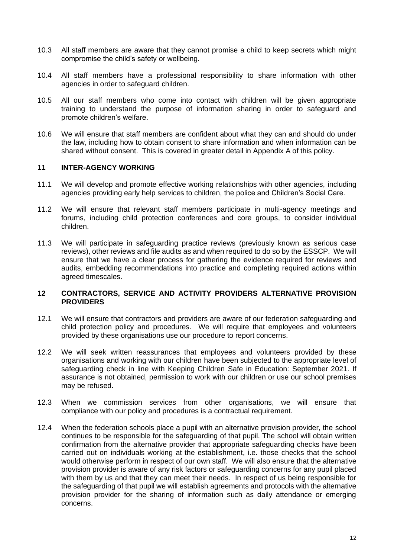- 10.3 All staff members are aware that they cannot promise a child to keep secrets which might compromise the child's safety or wellbeing.
- 10.4 All staff members have a professional responsibility to share information with other agencies in order to safeguard children.
- 10.5 All our staff members who come into contact with children will be given appropriate training to understand the purpose of information sharing in order to safeguard and promote children's welfare.
- 10.6 We will ensure that staff members are confident about what they can and should do under the law, including how to obtain consent to share information and when information can be shared without consent. This is covered in greater detail in Appendix A of this policy.

#### **11 INTER-AGENCY WORKING**

- 11.1 We will develop and promote effective working relationships with other agencies, including agencies providing early help services to children, the police and Children's Social Care.
- 11.2 We will ensure that relevant staff members participate in multi-agency meetings and forums, including child protection conferences and core groups, to consider individual children.
- 11.3 We will participate in safeguarding practice reviews (previously known as serious case reviews), other reviews and file audits as and when required to do so by the ESSCP. We will ensure that we have a clear process for gathering the evidence required for reviews and audits, embedding recommendations into practice and completing required actions within agreed timescales.

#### **12 CONTRACTORS, SERVICE AND ACTIVITY PROVIDERS ALTERNATIVE PROVISION PROVIDERS**

- 12.1 We will ensure that contractors and providers are aware of our federation safeguarding and child protection policy and procedures. We will require that employees and volunteers provided by these organisations use our procedure to report concerns.
- 12.2 We will seek written reassurances that employees and volunteers provided by these organisations and working with our children have been subjected to the appropriate level of safeguarding check in line with Keeping Children Safe in Education: September 2021. If assurance is not obtained, permission to work with our children or use our school premises may be refused.
- 12.3 When we commission services from other organisations, we will ensure that compliance with our policy and procedures is a contractual requirement.
- 12.4 When the federation schools place a pupil with an alternative provision provider, the school continues to be responsible for the safeguarding of that pupil. The school will obtain written confirmation from the alternative provider that appropriate safeguarding checks have been carried out on individuals working at the establishment, i.e. those checks that the school would otherwise perform in respect of our own staff. We will also ensure that the alternative provision provider is aware of any risk factors or safeguarding concerns for any pupil placed with them by us and that they can meet their needs. In respect of us being responsible for the safeguarding of that pupil we will establish agreements and protocols with the alternative provision provider for the sharing of information such as daily attendance or emerging concerns.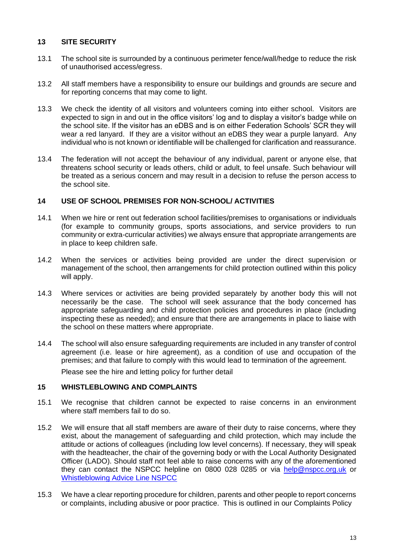#### **13 SITE SECURITY**

- 13.1 The school site is surrounded by a continuous perimeter fence/wall/hedge to reduce the risk of unauthorised access/egress.
- 13.2 All staff members have a responsibility to ensure our buildings and grounds are secure and for reporting concerns that may come to light.
- 13.3 We check the identity of all visitors and volunteers coming into either school. Visitors are expected to sign in and out in the office visitors' log and to display a visitor's badge while on the school site. If the visitor has an eDBS and is on either Federation Schools' SCR they will wear a red lanyard. If they are a visitor without an eDBS they wear a purple lanyard. Any individual who is not known or identifiable will be challenged for clarification and reassurance.
- 13.4 The federation will not accept the behaviour of any individual, parent or anyone else, that threatens school security or leads others, child or adult, to feel unsafe. Such behaviour will be treated as a serious concern and may result in a decision to refuse the person access to the school site.

#### **14 USE OF SCHOOL PREMISES FOR NON-SCHOOL/ ACTIVITIES**

- 14.1 When we hire or rent out federation school facilities/premises to organisations or individuals (for example to community groups, sports associations, and service providers to run community or extra-curricular activities) we always ensure that appropriate arrangements are in place to keep children safe.
- 14.2 When the services or activities being provided are under the direct supervision or management of the school, then arrangements for child protection outlined within this policy will apply.
- 14.3 Where services or activities are being provided separately by another body this will not necessarily be the case. The school will seek assurance that the body concerned has appropriate safeguarding and child protection policies and procedures in place (including inspecting these as needed); and ensure that there are arrangements in place to liaise with the school on these matters where appropriate.
- 14.4 The school will also ensure safeguarding requirements are included in any transfer of control agreement (i.e. lease or hire agreement), as a condition of use and occupation of the premises; and that failure to comply with this would lead to termination of the agreement.

Please see the hire and letting policy for further detail

#### **15 WHISTLEBLOWING AND COMPLAINTS**

- 15.1 We recognise that children cannot be expected to raise concerns in an environment where staff members fail to do so.
- 15.2 We will ensure that all staff members are aware of their duty to raise concerns, where they exist, about the management of safeguarding and child protection, which may include the attitude or actions of colleagues (including low level concerns). If necessary, they will speak with the headteacher, the chair of the governing body or with the Local Authority Designated Officer (LADO). Should staff not feel able to raise concerns with any of the aforementioned they can contact the NSPCC helpline on 0800 028 0285 or via [help@nspcc.org.uk](mailto:help@nspcc.org.uk) or [Whistleblowing Advice Line NSPCC](https://www.nspcc.org.uk/keeping-children-safe/reporting-abuse/dedicated-helplines/whistleblowing-advice-line/)
- 15.3 We have a clear reporting procedure for children, parents and other people to report concerns or complaints, including abusive or poor practice. This is outlined in our Complaints Policy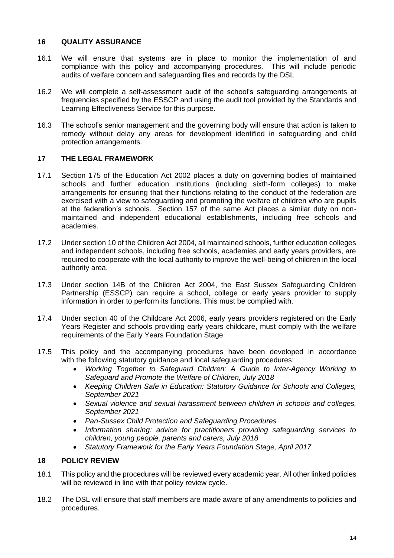#### **16 QUALITY ASSURANCE**

- 16.1 We will ensure that systems are in place to monitor the implementation of and compliance with this policy and accompanying procedures. This will include periodic audits of welfare concern and safeguarding files and records by the DSL
- 16.2 We will complete a self-assessment audit of the school's safeguarding arrangements at frequencies specified by the ESSCP and using the audit tool provided by the Standards and Learning Effectiveness Service for this purpose.
- 16.3 The school's senior management and the governing body will ensure that action is taken to remedy without delay any areas for development identified in safeguarding and child protection arrangements.

#### **17 THE LEGAL FRAMEWORK**

- 17.1 Section 175 of the Education Act 2002 places a duty on governing bodies of maintained schools and further education institutions (including sixth-form colleges) to make arrangements for ensuring that their functions relating to the conduct of the federation are exercised with a view to safeguarding and promoting the welfare of children who are pupils at the federation's schools. Section 157 of the same Act places a similar duty on nonmaintained and independent educational establishments, including free schools and academies.
- 17.2 Under section 10 of the Children Act 2004, all maintained schools, further education colleges and independent schools, including free schools, academies and early years providers, are required to cooperate with the local authority to improve the well-being of children in the local authority area.
- 17.3 Under section 14B of the Children Act 2004, the East Sussex Safeguarding Children Partnership (ESSCP) can require a school, college or early years provider to supply information in order to perform its functions. This must be complied with.
- 17.4 Under section 40 of the Childcare Act 2006, early years providers registered on the Early Years Register and schools providing early years childcare, must comply with the welfare requirements of the Early Years Foundation Stage
- 17.5 This policy and the accompanying procedures have been developed in accordance with the following statutory guidance and local safeguarding procedures:
	- *Working Together to Safeguard Children: A Guide to Inter-Agency Working to Safeguard and Promote the Welfare of Children, July 2018*
	- *Keeping Children Safe in Education: Statutory Guidance for Schools and Colleges, September 2021*
	- *Sexual violence and sexual harassment between children in schools and colleges, September 2021*
	- *Pan-Sussex Child Protection and Safeguarding Procedures*
	- *Information sharing: advice for practitioners providing safeguarding services to children, young people, parents and carers, July 2018*
	- *Statutory Framework for the Early Years Foundation Stage, April 2017*

#### **18 POLICY REVIEW**

- 18.1 This policy and the procedures will be reviewed every academic year. All other linked policies will be reviewed in line with that policy review cycle.
- 18.2 The DSL will ensure that staff members are made aware of any amendments to policies and procedures.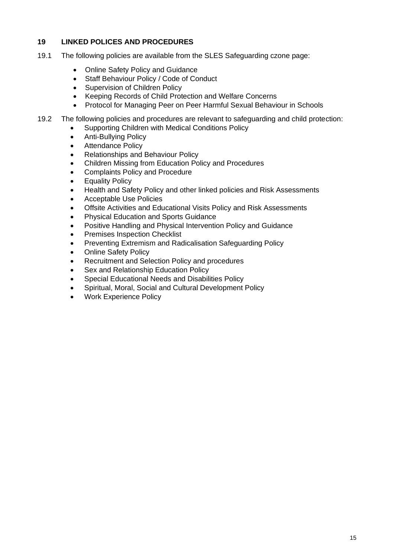#### **19 LINKED POLICES AND PROCEDURES**

- 19.1 The following policies are available from the SLES Safeguarding czone page:
	- Online Safety Policy and Guidance
	- Staff Behaviour Policy / Code of Conduct
	- Supervision of Children Policy
	- Keeping Records of Child Protection and Welfare Concerns
	- Protocol for Managing Peer on Peer Harmful Sexual Behaviour in Schools
- 19.2 The following policies and procedures are relevant to safeguarding and child protection:
	- Supporting Children with Medical Conditions Policy
	- Anti-Bullying Policy
	- Attendance Policy
	- Relationships and Behaviour Policy
	- Children Missing from Education Policy and Procedures
	- Complaints Policy and Procedure
	- **Equality Policy**
	- Health and Safety Policy and other linked policies and Risk Assessments
	- Acceptable Use Policies
	- Offsite Activities and Educational Visits Policy and Risk Assessments
	- Physical Education and Sports Guidance
	- Positive Handling and Physical Intervention Policy and Guidance
	- Premises Inspection Checklist
	- Preventing Extremism and Radicalisation Safeguarding Policy
	- Online Safety Policy
	- Recruitment and Selection Policy and procedures
	- Sex and Relationship Education Policy
	- Special Educational Needs and Disabilities Policy
	- Spiritual, Moral, Social and Cultural Development Policy
	- Work Experience Policy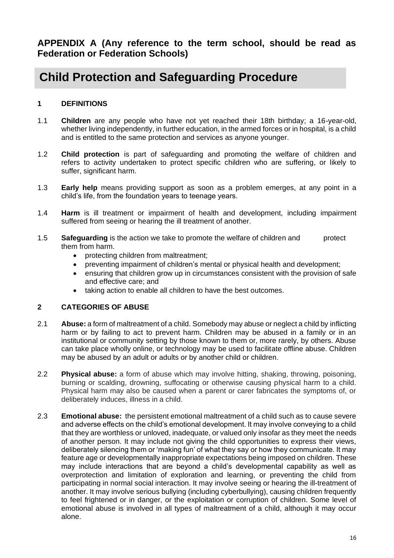**APPENDIX A (Any reference to the term school, should be read as Federation or Federation Schools)**

## **Child Protection and Safeguarding Procedure**

#### **1 DEFINITIONS**

- 1.1 **Children** are any people who have not yet reached their 18th birthday; a 16-year-old, whether living independently, in further education, in the armed forces or in hospital, is a child and is entitled to the same protection and services as anyone younger.
- 1.2 **Child protection** is part of safeguarding and promoting the welfare of children and refers to activity undertaken to protect specific children who are suffering, or likely to suffer, significant harm.
- 1.3 **Early help** means providing support as soon as a problem emerges, at any point in a child's life, from the foundation years to teenage years.
- 1.4 **Harm** is ill treatment or impairment of health and development, including impairment suffered from seeing or hearing the ill treatment of another.
- 1.5 **Safeguarding** is the action we take to promote the welfare of children and protect them from harm.
	- protecting children from maltreatment;
	- preventing impairment of children's mental or physical health and development;
	- ensuring that children grow up in circumstances consistent with the provision of safe and effective care; and
	- taking action to enable all children to have the best outcomes.

#### **2 CATEGORIES OF ABUSE**

- 2.1 **Abuse:** a form of maltreatment of a child. Somebody may abuse or neglect a child by inflicting harm or by failing to act to prevent harm. Children may be abused in a family or in an institutional or community setting by those known to them or, more rarely, by others. Abuse can take place wholly online, or technology may be used to facilitate offline abuse. Children may be abused by an adult or adults or by another child or children.
- 2.2 **Physical abuse:** a form of abuse which may involve hitting, shaking, throwing, poisoning, burning or scalding, drowning, suffocating or otherwise causing physical harm to a child. Physical harm may also be caused when a parent or carer fabricates the symptoms of, or deliberately induces, illness in a child.
- 2.3 **Emotional abuse:** the persistent emotional maltreatment of a child such as to cause severe and adverse effects on the child's emotional development. It may involve conveying to a child that they are worthless or unloved, inadequate, or valued only insofar as they meet the needs of another person. It may include not giving the child opportunities to express their views, deliberately silencing them or 'making fun' of what they say or how they communicate. It may feature age or developmentally inappropriate expectations being imposed on children. These may include interactions that are beyond a child's developmental capability as well as overprotection and limitation of exploration and learning, or preventing the child from participating in normal social interaction. It may involve seeing or hearing the ill-treatment of another. It may involve serious bullying (including cyberbullying), causing children frequently to feel frightened or in danger, or the exploitation or corruption of children. Some level of emotional abuse is involved in all types of maltreatment of a child, although it may occur alone.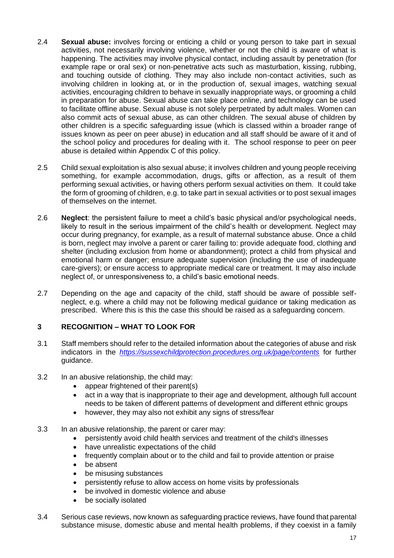- 2.4 **Sexual abuse:** involves forcing or enticing a child or young person to take part in sexual activities, not necessarily involving violence, whether or not the child is aware of what is happening. The activities may involve physical contact, including assault by penetration (for example rape or oral sex) or non-penetrative acts such as masturbation, kissing, rubbing, and touching outside of clothing. They may also include non-contact activities, such as involving children in looking at, or in the production of, sexual images, watching sexual activities, encouraging children to behave in sexually inappropriate ways, or grooming a child in preparation for abuse. Sexual abuse can take place online, and technology can be used to facilitate offline abuse. Sexual abuse is not solely perpetrated by adult males. Women can also commit acts of sexual abuse, as can other children. The sexual abuse of children by other children is a specific safeguarding issue (which is classed within a broader range of issues known as peer on peer abuse) in education and all staff should be aware of it and of the school policy and procedures for dealing with it. The school response to peer on peer abuse is detailed within Appendix C of this policy.
- 2.5 Child sexual exploitation is also sexual abuse; it involves children and young people receiving something, for example accommodation, drugs, gifts or affection, as a result of them performing sexual activities, or having others perform sexual activities on them. It could take the form of grooming of children, e.g. to take part in sexual activities or to post sexual images of themselves on the internet.
- 2.6 **Neglect**: the persistent failure to meet a child's basic physical and/or psychological needs, likely to result in the serious impairment of the child's health or development. Neglect may occur during pregnancy, for example, as a result of maternal substance abuse. Once a child is born, neglect may involve a parent or carer failing to: provide adequate food, clothing and shelter (including exclusion from home or abandonment); protect a child from physical and emotional harm or danger; ensure adequate supervision (including the use of inadequate care-givers); or ensure access to appropriate medical care or treatment. It may also include neglect of, or unresponsiveness to, a child's basic emotional needs.
- 2.7 Depending on the age and capacity of the child, staff should be aware of possible selfneglect, e.g. where a child may not be following medical guidance or taking medication as prescribed. Where this is this the case this should be raised as a safeguarding concern.

#### **3 RECOGNITION – WHAT TO LOOK FOR**

- 3.1 Staff members should refer to the detailed information about the categories of abuse and risk indicators in the *<https://sussexchildprotection.procedures.org.uk/page/contents>* for further guidance.
- 3.2 In an abusive relationship, the child may:
	- appear frightened of their parent(s)
	- act in a way that is inappropriate to their age and development, although full account needs to be taken of different patterns of development and different ethnic groups
	- however, they may also not exhibit any signs of stress/fear
- 3.3 In an abusive relationship, the parent or carer may:
	- persistently avoid child health services and treatment of the child's illnesses
	- have unrealistic expectations of the child
	- frequently complain about or to the child and fail to provide attention or praise
	- be absent
	- be misusing substances
	- persistently refuse to allow access on home visits by professionals
	- be involved in domestic violence and abuse
	- be socially isolated
- 3.4 Serious case reviews, now known as safeguarding practice reviews, have found that parental substance misuse, domestic abuse and mental health problems, if they coexist in a family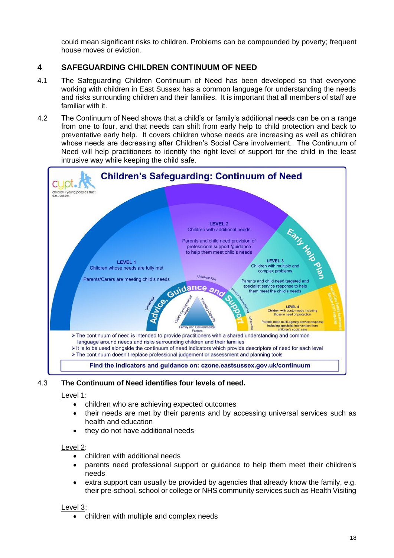could mean significant risks to children. Problems can be compounded by poverty; frequent house moves or eviction.

#### **4 SAFEGUARDING CHILDREN CONTINUUM OF NEED**

- 4.1 The Safeguarding Children Continuum of Need has been developed so that everyone working with children in East Sussex has a common language for understanding the needs and risks surrounding children and their families. It is important that all members of staff are familiar with it.
- 4.2 The Continuum of Need shows that a child's or family's additional needs can be on a range from one to four, and that needs can shift from early help to child protection and back to preventative early help. It covers children whose needs are increasing as well as children whose needs are decreasing after Children's Social Care involvement. The Continuum of Need will help practitioners to identify the right level of support for the child in the least intrusive way while keeping the child safe.



#### 4.3 **The Continuum of Need identifies four levels of need.**

#### Level 1:

- children who are achieving expected outcomes
- their needs are met by their parents and by accessing universal services such as health and education
- they do not have additional needs

#### Level 2:

- children with additional needs
- parents need professional support or guidance to help them meet their children's needs
- extra support can usually be provided by agencies that already know the family, e.g. their pre-school, school or college or NHS community services such as Health Visiting

#### Level 3:

• children with multiple and complex needs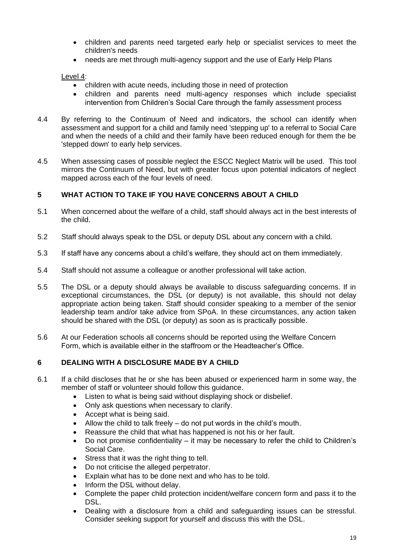- children and parents need targeted early help or specialist services to meet the children's needs
- needs are met through multi-agency support and the use of Early Help Plans

Level 4:

- children with acute needs, including those in need of protection
- children and parents need multi-agency responses which include specialist intervention from Children's Social Care through the family assessment process
- 4.4 By referring to the Continuum of Need and indicators, the school can identify when assessment and support for a child and family need 'stepping up' to a referral to Social Care and when the needs of a child and their family have been reduced enough for them the be 'stepped down' to early help services.
- 4.5 When assessing cases of possible neglect the ESCC Neglect Matrix will be used. This tool mirrors the Continuum of Need, but with greater focus upon potential indicators of neglect mapped across each of the four levels of need.

#### **5 WHAT ACTION TO TAKE IF YOU HAVE CONCERNS ABOUT A CHILD**

- 5.1 When concerned about the welfare of a child, staff should always act in the best interests of the child.
- 5.2 Staff should always speak to the DSL or deputy DSL about any concern with a child.
- 5.3 If staff have any concerns about a child's welfare, they should act on them immediately.
- 5.4 Staff should not assume a colleague or another professional will take action.
- 5.5 The DSL or a deputy should always be available to discuss safeguarding concerns. If in exceptional circumstances, the DSL (or deputy) is not available, this should not delay appropriate action being taken. Staff should consider speaking to a member of the senior leadership team and/or take advice from SPoA. In these circumstances, any action taken should be shared with the DSL (or deputy) as soon as is practically possible.
- 5.6 At our Federation schools all concerns should be reported using the Welfare Concern Form, which is available either in the staffroom or the Headteacher's Office.

#### **6 DEALING WITH A DISCLOSURE MADE BY A CHILD**

- 6.1 If a child discloses that he or she has been abused or experienced harm in some way, the member of staff or volunteer should follow this guidance.
	- Listen to what is being said without displaying shock or disbelief.
	- Only ask questions when necessary to clarify.
	- Accept what is being said.
	- Allow the child to talk freely do not put words in the child's mouth.
	- Reassure the child that what has happened is not his or her fault.
	- Do not promise confidentiality it may be necessary to refer the child to Children's Social Care.
	- Stress that it was the right thing to tell.
	- Do not criticise the alleged perpetrator.
	- Explain what has to be done next and who has to be told.
	- Inform the DSL without delay.
	- Complete the paper child protection incident/welfare concern form and pass it to the DSL.
	- Dealing with a disclosure from a child and safeguarding issues can be stressful. Consider seeking support for yourself and discuss this with the DSL.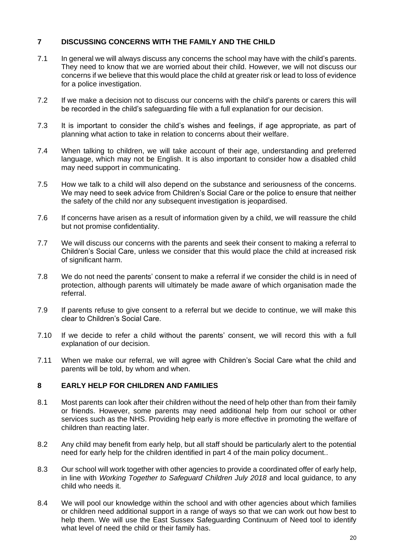#### **7 DISCUSSING CONCERNS WITH THE FAMILY AND THE CHILD**

- 7.1 In general we will always discuss any concerns the school may have with the child's parents. They need to know that we are worried about their child. However, we will not discuss our concerns if we believe that this would place the child at greater risk or lead to loss of evidence for a police investigation.
- 7.2 If we make a decision not to discuss our concerns with the child's parents or carers this will be recorded in the child's safeguarding file with a full explanation for our decision.
- 7.3 It is important to consider the child's wishes and feelings, if age appropriate, as part of planning what action to take in relation to concerns about their welfare.
- 7.4 When talking to children, we will take account of their age, understanding and preferred language, which may not be English. It is also important to consider how a disabled child may need support in communicating.
- 7.5 How we talk to a child will also depend on the substance and seriousness of the concerns. We may need to seek advice from Children's Social Care or the police to ensure that neither the safety of the child nor any subsequent investigation is jeopardised.
- 7.6 If concerns have arisen as a result of information given by a child, we will reassure the child but not promise confidentiality.
- 7.7 We will discuss our concerns with the parents and seek their consent to making a referral to Children's Social Care, unless we consider that this would place the child at increased risk of significant harm.
- 7.8 We do not need the parents' consent to make a referral if we consider the child is in need of protection, although parents will ultimately be made aware of which organisation made the referral.
- 7.9 If parents refuse to give consent to a referral but we decide to continue, we will make this clear to Children's Social Care.
- 7.10 If we decide to refer a child without the parents' consent, we will record this with a full explanation of our decision.
- 7.11 When we make our referral, we will agree with Children's Social Care what the child and parents will be told, by whom and when.

#### **8 EARLY HELP FOR CHILDREN AND FAMILIES**

- 8.1 Most parents can look after their children without the need of help other than from their family or friends. However, some parents may need additional help from our school or other services such as the NHS. Providing help early is more effective in promoting the welfare of children than reacting later.
- 8.2 Any child may benefit from early help, but all staff should be particularly alert to the potential need for early help for the children identified in part 4 of the main policy document..
- 8.3 Our school will work together with other agencies to provide a coordinated offer of early help, in line with *Working Together to Safeguard Children July 2018* and local guidance, to any child who needs it.
- 8.4 We will pool our knowledge within the school and with other agencies about which families or children need additional support in a range of ways so that we can work out how best to help them. We will use the East Sussex Safeguarding Continuum of Need tool to identify what level of need the child or their family has.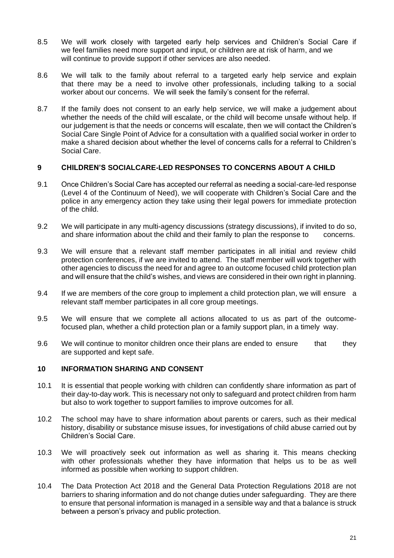- 8.5 We will work closely with targeted early help services and Children's Social Care if we feel families need more support and input, or children are at risk of harm, and we will continue to provide support if other services are also needed.
- 8.6 We will talk to the family about referral to a targeted early help service and explain that there may be a need to involve other professionals, including talking to a social worker about our concerns. We will seek the family's consent for the referral.
- 8.7 If the family does not consent to an early help service, we will make a judgement about whether the needs of the child will escalate, or the child will become unsafe without help. If our judgement is that the needs or concerns will escalate, then we will contact the Children's Social Care Single Point of Advice for a consultation with a qualified social worker in order to make a shared decision about whether the level of concerns calls for a referral to Children's Social Care.

#### **9 CHILDREN'S SOCIALCARE-LED RESPONSES TO CONCERNS ABOUT A CHILD**

- 9.1 Once Children's Social Care has accepted our referral as needing a social-care-led response (Level 4 of the Continuum of Need), we will cooperate with Children's Social Care and the police in any emergency action they take using their legal powers for immediate protection of the child.
- 9.2 We will participate in any multi-agency discussions (strategy discussions), if invited to do so, and share information about the child and their family to plan the response to concerns.
- 9.3 We will ensure that a relevant staff member participates in all initial and review child protection conferences, if we are invited to attend. The staff member will work together with other agencies to discuss the need for and agree to an outcome focused child protection plan and will ensure that the child's wishes, and views are considered in their own right in planning.
- 9.4 If we are members of the core group to implement a child protection plan, we will ensure a relevant staff member participates in all core group meetings.
- 9.5 We will ensure that we complete all actions allocated to us as part of the outcomefocused plan, whether a child protection plan or a family support plan, in a timely way.
- 9.6 We will continue to monitor children once their plans are ended to ensure that they are supported and kept safe.

#### **10 INFORMATION SHARING AND CONSENT**

- 10.1 It is essential that people working with children can confidently share information as part of their day-to-day work. This is necessary not only to safeguard and protect children from harm but also to work together to support families to improve outcomes for all.
- 10.2 The school may have to share information about parents or carers, such as their medical history, disability or substance misuse issues, for investigations of child abuse carried out by Children's Social Care.
- 10.3 We will proactively seek out information as well as sharing it. This means checking with other professionals whether they have information that helps us to be as well informed as possible when working to support children.
- 10.4 The Data Protection Act 2018 and the General Data Protection Regulations 2018 are not barriers to sharing information and do not change duties under safeguarding. They are there to ensure that personal information is managed in a sensible way and that a balance is struck between a person's privacy and public protection.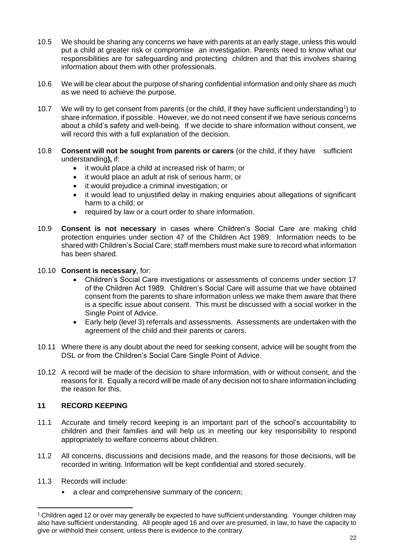- 10.5 We should be sharing any concerns we have with parents at an early stage, unless this would put a child at greater risk or compromise an investigation. Parents need to know what our responsibilities are for safeguarding and protecting children and that this involves sharing information about them with other professionals.
- 10.6 We will be clear about the purpose of sharing confidential information and only share as much as we need to achieve the purpose.
- 10.7 We will try to get consent from parents (or the child, if they have sufficient understanding<sup>1</sup>) to share information, if possible. However, we do not need consent if we have serious concerns about a child's safety and well-being. If we decide to share information without consent, we will record this with a full explanation of the decision.
- 10.8 **Consent will not be sought from parents or carers** (or the child, if they have sufficient understanding**),** if:
	- it would place a child at increased risk of harm; or
	- it would place an adult at risk of serious harm; or
	- it would prejudice a criminal investigation; or
	- it would lead to unjustified delay in making enquiries about allegations of significant harm to a child; or
	- required by law or a court order to share information.
- 10.9 **Consent is not necessary** in cases where Children's Social Care are making child protection enquiries under section 47 of the Children Act 1989. Information needs to be shared with Children's Social Care; staff members must make sure to record what information has been shared.
- 10.10 **Consent is necessary**, for:
	- Children's Social Care investigations or assessments of concerns under section 17 of the Children Act 1989. Children's Social Care will assume that we have obtained consent from the parents to share information unless we make them aware that there is a specific issue about consent. This must be discussed with a social worker in the Single Point of Advice.
	- Early help (level 3) referrals and assessments. Assessments are undertaken with the agreement of the child and their parents or carers.
- 10.11 Where there is any doubt about the need for seeking consent, advice will be sought from the DSL or from the Children's Social Care Single Point of Advice.
- 10.12 A record will be made of the decision to share information, with or without consent, and the reasons for it. Equally a record will be made of any decision not to share information including the reason for this.

#### **11 RECORD KEEPING**

- 11.1 Accurate and timely record keeping is an important part of the school's accountability to children and their families and will help us in meeting our key responsibility to respond appropriately to welfare concerns about children.
- 11.2 All concerns, discussions and decisions made, and the reasons for those decisions, will be recorded in writing. Information will be kept confidential and stored securely.
- 11.3 Records will include:
	- a clear and comprehensive summary of the concern;

<sup>&</sup>lt;sup>1</sup> Children aged 12 or over may generally be expected to have sufficient understanding. Younger children may also have sufficient understanding. All people aged 16 and over are presumed, in law, to have the capacity to give or withhold their consent, unless there is evidence to the contrary.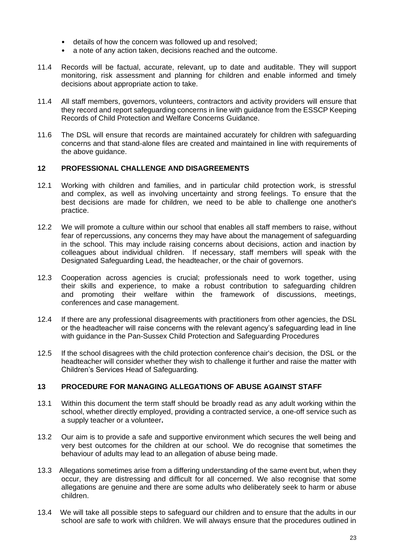- details of how the concern was followed up and resolved;
- a note of any action taken, decisions reached and the outcome.
- 11.4 Records will be factual, accurate, relevant, up to date and auditable. They will support monitoring, risk assessment and planning for children and enable informed and timely decisions about appropriate action to take.
- 11.4 All staff members, governors, volunteers, contractors and activity providers will ensure that they record and report safeguarding concerns in line with guidance from the ESSCP Keeping Records of Child Protection and Welfare Concerns Guidance.
- 11.6 The DSL will ensure that records are maintained accurately for children with safeguarding concerns and that stand-alone files are created and maintained in line with requirements of the above guidance.

#### **12 PROFESSIONAL CHALLENGE AND DISAGREEMENTS**

- 12.1 Working with children and families, and in particular child protection work, is stressful and complex, as well as involving uncertainty and strong feelings. To ensure that the best decisions are made for children, we need to be able to challenge one another's practice.
- 12.2 We will promote a culture within our school that enables all staff members to raise, without fear of repercussions, any concerns they may have about the management of safeguarding in the school. This may include raising concerns about decisions, action and inaction by colleagues about individual children. If necessary, staff members will speak with the Designated Safeguarding Lead, the headteacher, or the chair of governors.
- 12.3 Cooperation across agencies is crucial; professionals need to work together, using their skills and experience, to make a robust contribution to safeguarding children and promoting their welfare within the framework of discussions, meetings, conferences and case management.
- 12.4 If there are any professional disagreements with practitioners from other agencies, the DSL or the headteacher will raise concerns with the relevant agency's safeguarding lead in line with guidance in the Pan-Sussex Child Protection and Safeguarding Procedures
- 12.5 If the school disagrees with the child protection conference chair's decision, the DSL or the headteacher will consider whether they wish to challenge it further and raise the matter with Children's Services Head of Safeguarding.

#### **13 PROCEDURE FOR MANAGING ALLEGATIONS OF ABUSE AGAINST STAFF**

- 13.1 Within this document the term staff should be broadly read as any adult working within the school, whether directly employed, providing a contracted service, a one-off service such as a supply teacher or a volunteer**.**
- 13.2 Our aim is to provide a safe and supportive environment which secures the well being and very best outcomes for the children at our school. We do recognise that sometimes the behaviour of adults may lead to an allegation of abuse being made.
- 13.3 Allegations sometimes arise from a differing understanding of the same event but, when they occur, they are distressing and difficult for all concerned. We also recognise that some allegations are genuine and there are some adults who deliberately seek to harm or abuse children.
- 13.4 We will take all possible steps to safeguard our children and to ensure that the adults in our school are safe to work with children. We will always ensure that the procedures outlined in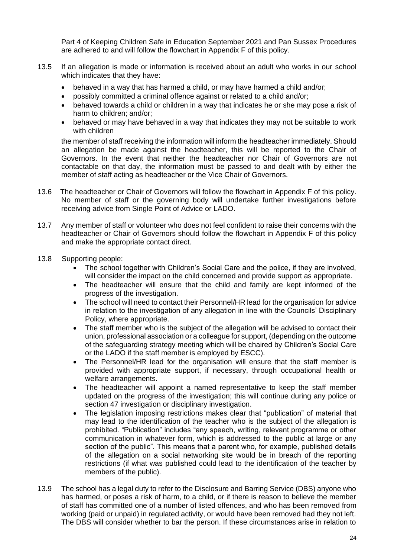Part 4 of Keeping Children Safe in Education September 2021 and Pan Sussex Procedures are adhered to and will follow the flowchart in Appendix F of this policy.

- 13.5 If an allegation is made or information is received about an adult who works in our school which indicates that they have:
	- behaved in a way that has harmed a child, or may have harmed a child and/or;
	- possibly committed a criminal offence against or related to a child and/or;
	- behaved towards a child or children in a way that indicates he or she may pose a risk of harm to children; and/or;
	- behaved or may have behaved in a way that indicates they may not be suitable to work with children

the member of staff receiving the information will inform the headteacher immediately. Should an allegation be made against the headteacher, this will be reported to the Chair of Governors. In the event that neither the headteacher nor Chair of Governors are not contactable on that day, the information must be passed to and dealt with by either the member of staff acting as headteacher or the Vice Chair of Governors.

- 13.6 The headteacher or Chair of Governors will follow the flowchart in Appendix F of this policy. No member of staff or the governing body will undertake further investigations before receiving advice from Single Point of Advice or LADO.
- 13.7 Any member of staff or volunteer who does not feel confident to raise their concerns with the headteacher or Chair of Governors should follow the flowchart in Appendix F of this policy and make the appropriate contact direct.
- 13.8 Supporting people:
	- The school together with Children's Social Care and the police, if they are involved, will consider the impact on the child concerned and provide support as appropriate.
	- The headteacher will ensure that the child and family are kept informed of the progress of the investigation.
	- The school will need to contact their Personnel/HR lead for the organisation for advice in relation to the investigation of any allegation in line with the Councils' Disciplinary Policy, where appropriate.
	- The staff member who is the subject of the allegation will be advised to contact their union, professional association or a colleague for support, (depending on the outcome of the safeguarding strategy meeting which will be chaired by Children's Social Care or the LADO if the staff member is employed by ESCC).
	- The Personnel/HR lead for the organisation will ensure that the staff member is provided with appropriate support, if necessary, through occupational health or welfare arrangements.
	- The headteacher will appoint a named representative to keep the staff member updated on the progress of the investigation; this will continue during any police or section 47 investigation or disciplinary investigation.
	- The legislation imposing restrictions makes clear that "publication" of material that may lead to the identification of the teacher who is the subject of the allegation is prohibited. "Publication" includes "any speech, writing, relevant programme or other communication in whatever form, which is addressed to the public at large or any section of the public". This means that a parent who, for example, published details of the allegation on a social networking site would be in breach of the reporting restrictions (if what was published could lead to the identification of the teacher by members of the public).
- 13.9 The school has a legal duty to refer to the Disclosure and Barring Service (DBS) anyone who has harmed, or poses a risk of harm, to a child, or if there is reason to believe the member of staff has committed one of a number of listed offences, and who has been removed from working (paid or unpaid) in regulated activity, or would have been removed had they not left. The DBS will consider whether to bar the person. If these circumstances arise in relation to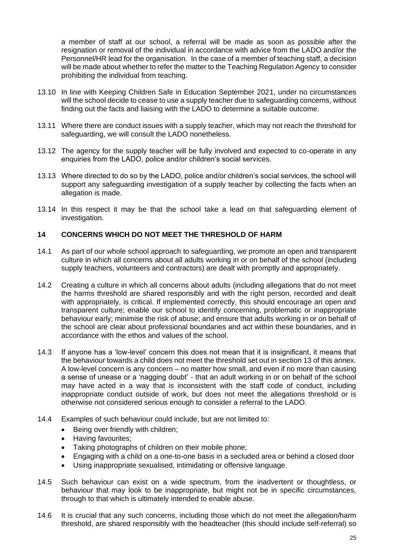a member of staff at our school, a referral will be made as soon as possible after the resignation or removal of the individual in accordance with advice from the LADO and/or the Personnel/HR lead for the organisation. In the case of a member of teaching staff, a decision will be made about whether to refer the matter to the Teaching Regulation Agency to consider prohibiting the individual from teaching.

- 13.10 In line with Keeping Children Safe in Education September 2021, under no circumstances will the school decide to cease to use a supply teacher due to safeguarding concerns, without finding out the facts and liaising with the LADO to determine a suitable outcome.
- 13.11 Where there are conduct issues with a supply teacher, which may not reach the threshold for safeguarding, we will consult the LADO nonetheless.
- 13.12 The agency for the supply teacher will be fully involved and expected to co-operate in any enquiries from the LADO, police and/or children's social services.
- 13.13 Where directed to do so by the LADO, police and/or children's social services, the school will support any safeguarding investigation of a supply teacher by collecting the facts when an allegation is made.
- 13.14 In this respect it may be that the school take a lead on that safeguarding element of investigation.

#### **14 CONCERNS WHICH DO NOT MEET THE THRESHOLD OF HARM**

- 14.1 As part of our whole school approach to safeguarding, we promote an open and transparent culture in which all concerns about all adults working in or on behalf of the school (including supply teachers, volunteers and contractors) are dealt with promptly and appropriately.
- 14.2 Creating a culture in which all concerns about adults (including allegations that do not meet the harms threshold are shared responsibly and with the right person, recorded and dealt with appropriately, is critical. If implemented correctly, this should encourage an open and transparent culture; enable our school to identify concerning, problematic or inappropriate behaviour early; minimise the risk of abuse; and ensure that adults working in or on behalf of the school are clear about professional boundaries and act within these boundaries, and in accordance with the ethos and values of the school.
- 14.3 If anyone has a 'low-level' concern this does not mean that it is insignificant, it means that the behaviour towards a child does not meet the threshold set out in section 13 of this annex. A low-level concern is any concern – no matter how small, and even if no more than causing a sense of unease or a 'nagging doubt' - that an adult working in or on behalf of the school may have acted in a way that is inconsistent with the staff code of conduct, including inappropriate conduct outside of work, but does not meet the allegations threshold or is otherwise not considered serious enough to consider a referral to the LADO.
- 14.4 Examples of such behaviour could include, but are not limited to:
	- Being over friendly with children;
	- Having favourites;
	- Taking photographs of children on their mobile phone;
	- Engaging with a child on a one-to-one basis in a secluded area or behind a closed door
	- Using inappropriate sexualised, intimidating or offensive language.
- 14.5 Such behaviour can exist on a wide spectrum, from the inadvertent or thoughtless, or behaviour that may look to be inappropriate, but might not be in specific circumstances, through to that which is ultimately intended to enable abuse.
- 14.6 It is crucial that any such concerns, including those which do not meet the allegation/harm threshold, are shared responsibly with the headteacher (this should include self-referral) so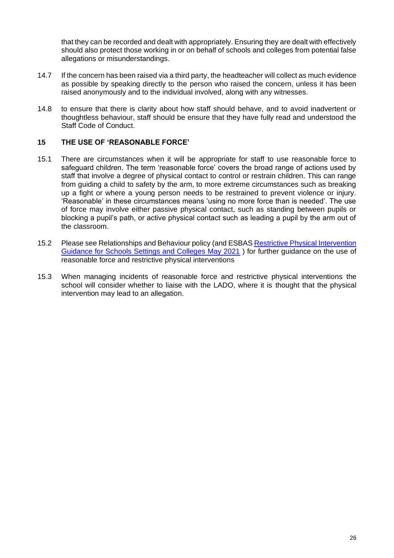that they can be recorded and dealt with appropriately. Ensuring they are dealt with effectively should also protect those working in or on behalf of schools and colleges from potential false allegations or misunderstandings.

- 14.7 If the concern has been raised via a third party, the headteacher will collect as much evidence as possible by speaking directly to the person who raised the concern, unless it has been raised anonymously and to the individual involved, along with any witnesses.
- 14.8 to ensure that there is clarity about how staff should behave, and to avoid inadvertent or thoughtless behaviour, staff should be ensure that they have fully read and understood the Staff Code of Conduct.

#### **15 THE USE OF 'REASONABLE FORCE'**

- 15.1 There are circumstances when it will be appropriate for staff to use reasonable force to safeguard children. The term 'reasonable force' covers the broad range of actions used by staff that involve a degree of physical contact to control or restrain children. This can range from guiding a child to safety by the arm, to more extreme circumstances such as breaking up a fight or where a young person needs to be restrained to prevent violence or injury. 'Reasonable' in these circumstances means 'using no more force than is needed'. The use of force may involve either passive physical contact, such as standing between pupils or blocking a pupil's path, or active physical contact such as leading a pupil by the arm out of the classroom.
- 15.2 Please see Relationships and Behaviour policy (and ESBAS [Restrictive Physical Intervention](https://czone.eastsussex.gov.uk/inclusion-and-send/isend-services/education-support-behaviour-and-attendance-service-esbas/resources/)  [Guidance for Schools Settings and Colleges May 2021](https://czone.eastsussex.gov.uk/inclusion-and-send/isend-services/education-support-behaviour-and-attendance-service-esbas/resources/) ) for further guidance on the use of reasonable force and restrictive physical interventions
- 15.3 When managing incidents of reasonable force and restrictive physical interventions the school will consider whether to liaise with the LADO, where it is thought that the physical intervention may lead to an allegation.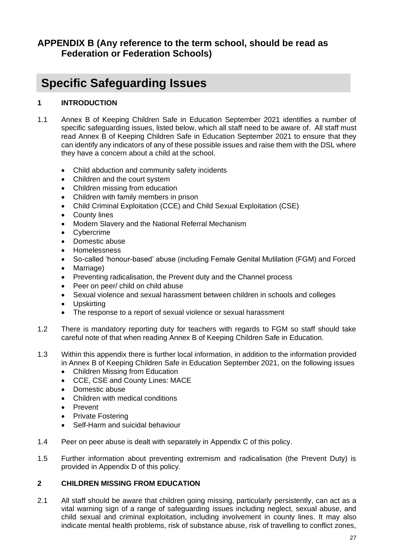## **APPENDIX B (Any reference to the term school, should be read as Federation or Federation Schools)**

## **Specific Safeguarding Issues**

#### **1 INTRODUCTION**

- 1.1 Annex B of Keeping Children Safe in Education September 2021 identifies a number of specific safeguarding issues, listed below, which all staff need to be aware of. All staff must read Annex B of Keeping Children Safe in Education September 2021 to ensure that they can identify any indicators of any of these possible issues and raise them with the DSL where they have a concern about a child at the school.
	- Child abduction and community safety incidents
	- Children and the court system
	- Children missing from education
	- Children with family members in prison
	- Child Criminal Exploitation (CCE) and Child Sexual Exploitation (CSE)
	- **County lines**
	- Modern Slavery and the National Referral Mechanism
	- **Cybercrime**
	- Domestic abuse
	- Homelessness
	- So-called 'honour-based' abuse (including Female Genital Mutilation (FGM) and Forced
	- Marriage)
	- Preventing radicalisation, the Prevent duty and the Channel process
	- Peer on peer/ child on child abuse
	- Sexual violence and sexual harassment between children in schools and colleges
	- Upskirting
	- The response to a report of sexual violence or sexual harassment
- 1.2 There is mandatory reporting duty for teachers with regards to FGM so staff should take careful note of that when reading Annex B of Keeping Children Safe in Education.
- 1.3 Within this appendix there is further local information, in addition to the information provided in Annex B of Keeping Children Safe in Education September 2021, on the following issues
	- Children Missing from Education
	- CCE, CSE and County Lines: MACE
	- Domestic abuse
	- Children with medical conditions
	- Prevent
	- Private Fostering
	- Self-Harm and suicidal behaviour
- 1.4 Peer on peer abuse is dealt with separately in Appendix C of this policy.
- 1.5 Further information about preventing extremism and radicalisation (the Prevent Duty) is provided in Appendix D of this policy.

#### **2 CHILDREN MISSING FROM EDUCATION**

2.1 All staff should be aware that children going missing, particularly persistently, can act as a vital warning sign of a range of safeguarding issues including neglect, sexual abuse, and child sexual and criminal exploitation, including involvement in county lines. It may also indicate mental health problems, risk of substance abuse, risk of travelling to conflict zones,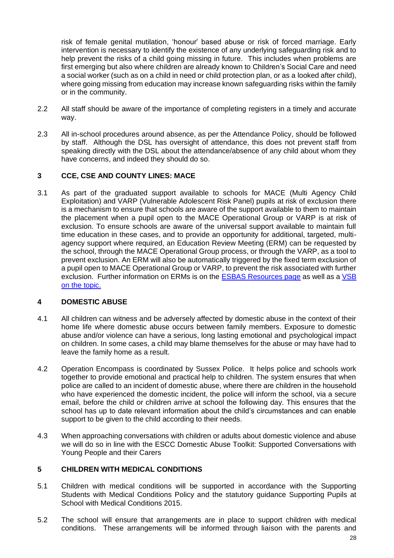risk of female genital mutilation, 'honour' based abuse or risk of forced marriage. Early intervention is necessary to identify the existence of any underlying safeguarding risk and to help prevent the risks of a child going missing in future. This includes when problems are first emerging but also where children are already known to Children's Social Care and need a social worker (such as on a child in need or child protection plan, or as a looked after child), where going missing from education may increase known safeguarding risks within the family or in the community.

- 2.2 All staff should be aware of the importance of completing registers in a timely and accurate way.
- 2.3 All in-school procedures around absence, as per the Attendance Policy, should be followed by staff. Although the DSL has oversight of attendance, this does not prevent staff from speaking directly with the DSL about the attendance/absence of any child about whom they have concerns, and indeed they should do so.

#### **3 CCE, CSE AND COUNTY LINES: MACE**

3.1 As part of the graduated support available to schools for MACE (Multi Agency Child Exploitation) and VARP (Vulnerable Adolescent Risk Panel) pupils at risk of exclusion there is a mechanism to ensure that schools are aware of the support available to them to maintain the placement when a pupil open to the MACE Operational Group or VARP is at risk of exclusion. To ensure schools are aware of the universal support available to maintain full time education in these cases, and to provide an opportunity for additional, targeted, multiagency support where required, an Education Review Meeting (ERM) can be requested by the school, through the MACE Operational Group process, or through the VARP, as a tool to prevent exclusion. An ERM will also be automatically triggered by the fixed term exclusion of a pupil open to MACE Operational Group or VARP, to prevent the risk associated with further exclusion. Further information on ERMs is on the [ESBAS Resources page](https://czone.eastsussex.gov.uk/inclusion-and-send/isend-services/education-support-behaviour-and-attendance-service-esbas/resources/) as well as a VSB [on the](https://vsb.eastsussex.gov.uk/article/7331) topic.

#### **4 DOMESTIC ABUSE**

- 4.1 All children can witness and be adversely affected by domestic abuse in the context of their home life where domestic abuse occurs between family members. Exposure to domestic abuse and/or violence can have a serious, long lasting emotional and psychological impact on children. In some cases, a child may blame themselves for the abuse or may have had to leave the family home as a result.
- 4.2 Operation Encompass is coordinated by Sussex Police. It helps police and schools work together to provide emotional and practical help to children. The system ensures that when police are called to an incident of domestic abuse, where there are children in the household who have experienced the domestic incident, the police will inform the school, via a secure email, before the child or children arrive at school the following day. This ensures that the school has up to date relevant information about the child's circumstances and can enable support to be given to the child according to their needs.
- 4.3 When approaching conversations with children or adults about domestic violence and abuse we will do so in line with the ESCC Domestic Abuse Toolkit: Supported Conversations with Young People and their Carers

#### **5 CHILDREN WITH MEDICAL CONDITIONS**

- 5.1 Children with medical conditions will be supported in accordance with the Supporting Students with Medical Conditions Policy and the statutory guidance Supporting Pupils at School with Medical Conditions 2015.
- 5.2 The school will ensure that arrangements are in place to support children with medical conditions. These arrangements will be informed through liaison with the parents and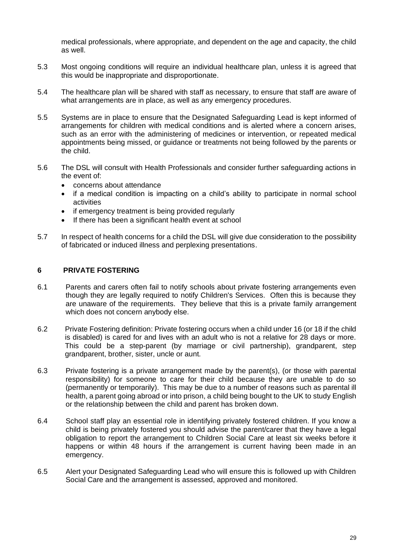medical professionals, where appropriate, and dependent on the age and capacity, the child as well.

- 5.3 Most ongoing conditions will require an individual healthcare plan, unless it is agreed that this would be inappropriate and disproportionate.
- 5.4 The healthcare plan will be shared with staff as necessary, to ensure that staff are aware of what arrangements are in place, as well as any emergency procedures.
- 5.5 Systems are in place to ensure that the Designated Safeguarding Lead is kept informed of arrangements for children with medical conditions and is alerted where a concern arises, such as an error with the administering of medicines or intervention, or repeated medical appointments being missed, or guidance or treatments not being followed by the parents or the child.
- 5.6 The DSL will consult with Health Professionals and consider further safeguarding actions in the event of:
	- concerns about attendance
	- if a medical condition is impacting on a child's ability to participate in normal school activities
	- if emergency treatment is being provided regularly
	- If there has been a significant health event at school
- 5.7 In respect of health concerns for a child the DSL will give due consideration to the possibility of fabricated or induced illness and perplexing presentations.

#### **6 PRIVATE FOSTERING**

- 6.1 Parents and carers often fail to notify schools about private fostering arrangements even though they are legally required to notify Children's Services. Often this is because they are unaware of the requirements. They believe that this is a private family arrangement which does not concern anybody else.
- 6.2 Private Fostering definition: Private fostering occurs when a child under 16 (or 18 if the child is disabled) is cared for and lives with an adult who is not a relative for 28 days or more. This could be a step-parent (by marriage or civil partnership), grandparent, step grandparent, brother, sister, uncle or aunt.
- 6.3 Private fostering is a private arrangement made by the parent(s), (or those with parental responsibility) for someone to care for their child because they are unable to do so (permanently or temporarily). This may be due to a number of reasons such as parental ill health, a parent going abroad or into prison, a child being bought to the UK to study English or the relationship between the child and parent has broken down.
- 6.4 School staff play an essential role in identifying privately fostered children. If you know a child is being privately fostered you should advise the parent/carer that they have a legal obligation to report the arrangement to Children Social Care at least six weeks before it happens or within 48 hours if the arrangement is current having been made in an emergency.
- 6.5 Alert your Designated Safeguarding Lead who will ensure this is followed up with Children Social Care and the arrangement is assessed, approved and monitored.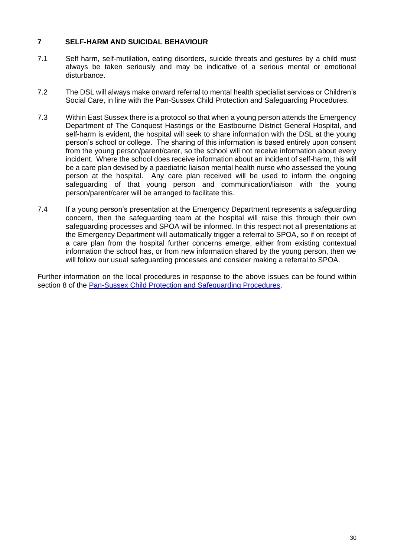#### **7 SELF-HARM AND SUICIDAL BEHAVIOUR**

- 7.1 Self harm, self-mutilation, eating disorders, suicide threats and gestures by a child must always be taken seriously and may be indicative of a serious mental or emotional disturbance.
- 7.2 The DSL will always make onward referral to mental health specialist services or Children's Social Care, in line with the Pan-Sussex Child Protection and Safeguarding Procedures.
- 7.3 Within East Sussex there is a protocol so that when a young person attends the Emergency Department of The Conquest Hastings or the Eastbourne District General Hospital, and self-harm is evident, the hospital will seek to share information with the DSL at the young person's school or college. The sharing of this information is based entirely upon consent from the young person/parent/carer, so the school will not receive information about every incident. Where the school does receive information about an incident of self-harm, this will be a care plan devised by a paediatric liaison mental health nurse who assessed the young person at the hospital. Any care plan received will be used to inform the ongoing safeguarding of that young person and communication/liaison with the young person/parent/carer will be arranged to facilitate this.
- 7.4 If a young person's presentation at the Emergency Department represents a safeguarding concern, then the safeguarding team at the hospital will raise this through their own safeguarding processes and SPOA will be informed. In this respect not all presentations at the Emergency Department will automatically trigger a referral to SPOA, so if on receipt of a care plan from the hospital further concerns emerge, either from existing contextual information the school has, or from new information shared by the young person, then we will follow our usual safeguarding processes and consider making a referral to SPOA.

Further information on the local procedures in response to the above issues can be found within section 8 of the [Pan-Sussex Child Protection and Safeguarding Procedures.](https://sussexchildprotection.procedures.org.uk/page/contents)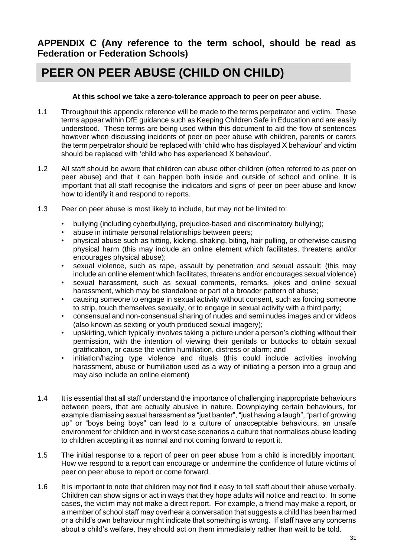**APPENDIX C (Any reference to the term school, should be read as Federation or Federation Schools)**

# **PEER ON PEER ABUSE (CHILD ON CHILD)**

#### **At this school we take a zero-tolerance approach to peer on peer abuse.**

- 1.1 Throughout this appendix reference will be made to the terms perpetrator and victim. These terms appear within DfE guidance such as Keeping Children Safe in Education and are easily understood. These terms are being used within this document to aid the flow of sentences however when discussing incidents of peer on peer abuse with children, parents or carers the term perpetrator should be replaced with 'child who has displayed X behaviour' and victim should be replaced with 'child who has experienced X behaviour'.
- 1.2 All staff should be aware that children can abuse other children (often referred to as peer on peer abuse) and that it can happen both inside and outside of school and online. It is important that all staff recognise the indicators and signs of peer on peer abuse and know how to identify it and respond to reports.
- 1.3 Peer on peer abuse is most likely to include, but may not be limited to:
	- bullying (including cyberbullying, prejudice-based and discriminatory bullying);
	- abuse in intimate personal relationships between peers;
	- physical abuse such as hitting, kicking, shaking, biting, hair pulling, or otherwise causing physical harm (this may include an online element which facilitates, threatens and/or encourages physical abuse);
	- sexual violence, such as rape, assault by penetration and sexual assault; (this may include an online element which facilitates, threatens and/or encourages sexual violence)
	- sexual harassment, such as sexual comments, remarks, jokes and online sexual harassment, which may be standalone or part of a broader pattern of abuse;
	- causing someone to engage in sexual activity without consent, such as forcing someone to strip, touch themselves sexually, or to engage in sexual activity with a third party;
	- consensual and non-consensual sharing of nudes and semi nudes images and or videos (also known as sexting or youth produced sexual imagery);
	- upskirting, which typically involves taking a picture under a person's clothing without their permission, with the intention of viewing their genitals or buttocks to obtain sexual gratification, or cause the victim humiliation, distress or alarm; and
	- initiation/hazing type violence and rituals (this could include activities involving harassment, abuse or humiliation used as a way of initiating a person into a group and may also include an online element)
- 1.4 It is essential that all staff understand the importance of challenging inappropriate behaviours between peers, that are actually abusive in nature. Downplaying certain behaviours, for example dismissing sexual harassment as "just banter", "just having a laugh", "part of growing up" or "boys being boys" can lead to a culture of unacceptable behaviours, an unsafe environment for children and in worst case scenarios a culture that normalises abuse leading to children accepting it as normal and not coming forward to report it.
- 1.5 The initial response to a report of peer on peer abuse from a child is incredibly important. How we respond to a report can encourage or undermine the confidence of future victims of peer on peer abuse to report or come forward.
- 1.6 It is important to note that children may not find it easy to tell staff about their abuse verbally. Children can show signs or act in ways that they hope adults will notice and react to. In some cases, the victim may not make a direct report. For example, a friend may make a report, or a member of school staff may overhear a conversation that suggests a child has been harmed or a child's own behaviour might indicate that something is wrong. If staff have any concerns about a child's welfare, they should act on them immediately rather than wait to be told.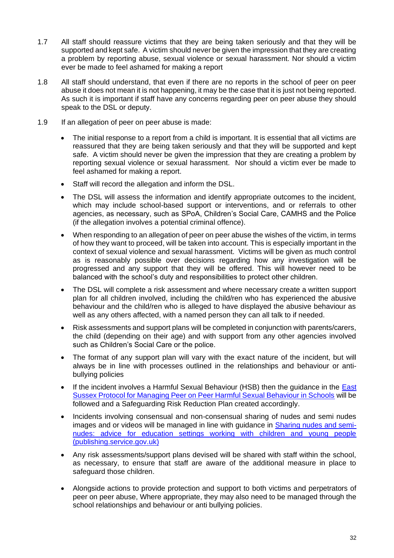- 1.7 All staff should reassure victims that they are being taken seriously and that they will be supported and kept safe. A victim should never be given the impression that they are creating a problem by reporting abuse, sexual violence or sexual harassment. Nor should a victim ever be made to feel ashamed for making a report
- 1.8 All staff should understand, that even if there are no reports in the school of peer on peer abuse it does not mean it is not happening, it may be the case that it is just not being reported. As such it is important if staff have any concerns regarding peer on peer abuse they should speak to the DSL or deputy.
- 1.9 If an allegation of peer on peer abuse is made:
	- The initial response to a report from a child is important. It is essential that all victims are reassured that they are being taken seriously and that they will be supported and kept safe. A victim should never be given the impression that they are creating a problem by reporting sexual violence or sexual harassment. Nor should a victim ever be made to feel ashamed for making a report.
	- Staff will record the allegation and inform the DSL.
	- The DSL will assess the information and identify appropriate outcomes to the incident, which may include school-based support or interventions, and or referrals to other agencies, as necessary, such as SPoA, Children's Social Care, CAMHS and the Police (if the allegation involves a potential criminal offence).
	- When responding to an allegation of peer on peer abuse the wishes of the victim, in terms of how they want to proceed, will be taken into account. This is especially important in the context of sexual violence and sexual harassment. Victims will be given as much control as is reasonably possible over decisions regarding how any investigation will be progressed and any support that they will be offered. This will however need to be balanced with the school's duty and responsibilities to protect other children.
	- The DSL will complete a risk assessment and where necessary create a written support plan for all children involved, including the child/ren who has experienced the abusive behaviour and the child/ren who is alleged to have displayed the abusive behaviour as well as any others affected, with a named person they can all talk to if needed.
	- Risk assessments and support plans will be completed in conjunction with parents/carers, the child (depending on their age) and with support from any other agencies involved such as Children's Social Care or the police.
	- The format of any support plan will vary with the exact nature of the incident, but will always be in line with processes outlined in the relationships and behaviour or antibullying policies
	- If the incident involves a Harmful Sexual Behaviour (HSB) then the quidance in the East [Sussex Protocol for Managing Peer on Peer Harmful Sexual Behaviour in Schools](https://czone.eastsussex.gov.uk/safeguarding/safeguarding-in-schools-colleges-and-early-years-settings/safeguarding-model-policies-and-guidance/harmful-sexual-behaviours/) will be followed and a Safeguarding Risk Reduction Plan created accordingly.
	- Incidents involving consensual and non-consensual sharing of nudes and semi nudes images and or videos will be managed in line with guidance in [Sharing nudes and semi](https://assets.publishing.service.gov.uk/government/uploads/system/uploads/attachment_data/file/947545/UKCIS_sharing_nudes_and_semi_nudes_advice_for_education_settings_V2.pdf)[nudes: advice for education settings working with children and young people](https://assets.publishing.service.gov.uk/government/uploads/system/uploads/attachment_data/file/947545/UKCIS_sharing_nudes_and_semi_nudes_advice_for_education_settings_V2.pdf)  [\(publishing.service.gov.uk\)](https://assets.publishing.service.gov.uk/government/uploads/system/uploads/attachment_data/file/947545/UKCIS_sharing_nudes_and_semi_nudes_advice_for_education_settings_V2.pdf)
	- Any risk assessments/support plans devised will be shared with staff within the school, as necessary, to ensure that staff are aware of the additional measure in place to safeguard those children.
	- Alongside actions to provide protection and support to both victims and perpetrators of peer on peer abuse, Where appropriate, they may also need to be managed through the school relationships and behaviour or anti bullying policies.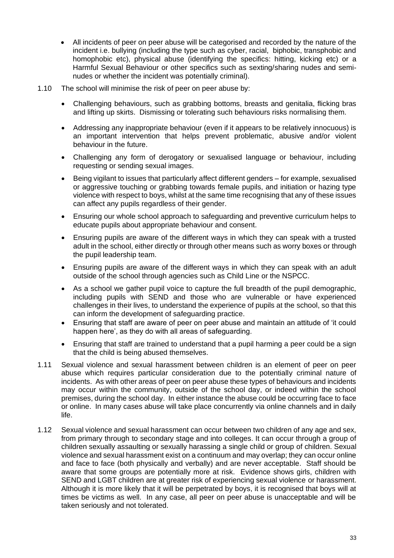- All incidents of peer on peer abuse will be categorised and recorded by the nature of the incident i.e. bullying (including the type such as cyber, racial, biphobic, transphobic and homophobic etc), physical abuse (identifying the specifics: hitting, kicking etc) or a Harmful Sexual Behaviour or other specifics such as sexting/sharing nudes and seminudes or whether the incident was potentially criminal).
- 1.10 The school will minimise the risk of peer on peer abuse by:
	- Challenging behaviours, such as grabbing bottoms, breasts and genitalia, flicking bras and lifting up skirts. Dismissing or tolerating such behaviours risks normalising them.
	- Addressing any inappropriate behaviour (even if it appears to be relatively innocuous) is an important intervention that helps prevent problematic, abusive and/or violent behaviour in the future.
	- Challenging any form of derogatory or sexualised language or behaviour, including requesting or sending sexual images.
	- Being vigilant to issues that particularly affect different genders for example, sexualised or aggressive touching or grabbing towards female pupils, and initiation or hazing type violence with respect to boys, whilst at the same time recognising that any of these issues can affect any pupils regardless of their gender.
	- Ensuring our whole school approach to safeguarding and preventive curriculum helps to educate pupils about appropriate behaviour and consent.
	- Ensuring pupils are aware of the different ways in which they can speak with a trusted adult in the school, either directly or through other means such as worry boxes or through the pupil leadership team.
	- Ensuring pupils are aware of the different ways in which they can speak with an adult outside of the school through agencies such as Child Line or the NSPCC.
	- As a school we gather pupil voice to capture the full breadth of the pupil demographic, including pupils with SEND and those who are vulnerable or have experienced challenges in their lives, to understand the experience of pupils at the school, so that this can inform the development of safeguarding practice.
	- Ensuring that staff are aware of peer on peer abuse and maintain an attitude of 'it could happen here', as they do with all areas of safeguarding.
	- Ensuring that staff are trained to understand that a pupil harming a peer could be a sign that the child is being abused themselves.
- 1.11 Sexual violence and sexual harassment between children is an element of peer on peer abuse which requires particular consideration due to the potentially criminal nature of incidents. As with other areas of peer on peer abuse these types of behaviours and incidents may occur within the community, outside of the school day, or indeed within the school premises, during the school day. In either instance the abuse could be occurring face to face or online. In many cases abuse will take place concurrently via online channels and in daily life.
- 1.12 Sexual violence and sexual harassment can occur between two children of any age and sex, from primary through to secondary stage and into colleges. It can occur through a group of children sexually assaulting or sexually harassing a single child or group of children. Sexual violence and sexual harassment exist on a continuum and may overlap; they can occur online and face to face (both physically and verbally) and are never acceptable. Staff should be aware that some groups are potentially more at risk. Evidence shows girls, children with SEND and LGBT children are at greater risk of experiencing sexual violence or harassment. Although it is more likely that it will be perpetrated by boys, it is recognised that boys will at times be victims as well. In any case, all peer on peer abuse is unacceptable and will be taken seriously and not tolerated.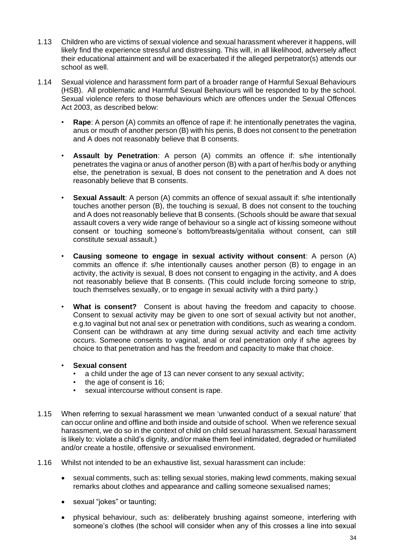- 1.13 Children who are victims of sexual violence and sexual harassment wherever it happens, will likely find the experience stressful and distressing. This will, in all likelihood, adversely affect their educational attainment and will be exacerbated if the alleged perpetrator(s) attends our school as well.
- 1.14 Sexual violence and harassment form part of a broader range of Harmful Sexual Behaviours (HSB). All problematic and Harmful Sexual Behaviours will be responded to by the school. Sexual violence refers to those behaviours which are offences under the Sexual Offences Act 2003, as described below:
	- **Rape**: A person (A) commits an offence of rape if: he intentionally penetrates the vagina, anus or mouth of another person (B) with his penis, B does not consent to the penetration and A does not reasonably believe that B consents.
	- **Assault by Penetration**: A person (A) commits an offence if: s/he intentionally penetrates the vagina or anus of another person (B) with a part of her/his body or anything else, the penetration is sexual, B does not consent to the penetration and A does not reasonably believe that B consents.
	- **Sexual Assault**: A person (A) commits an offence of sexual assault if: s/he intentionally touches another person (B), the touching is sexual, B does not consent to the touching and A does not reasonably believe that B consents. (Schools should be aware that sexual assault covers a very wide range of behaviour so a single act of kissing someone without consent or touching someone's bottom/breasts/genitalia without consent, can still constitute sexual assault.)
	- **Causing someone to engage in sexual activity without consent**: A person (A) commits an offence if: s/he intentionally causes another person (B) to engage in an activity, the activity is sexual, B does not consent to engaging in the activity, and A does not reasonably believe that B consents. (This could include forcing someone to strip, touch themselves sexually, or to engage in sexual activity with a third party.)
	- **What is consent?** Consent is about having the freedom and capacity to choose. Consent to sexual activity may be given to one sort of sexual activity but not another, e.g.to vaginal but not anal sex or penetration with conditions, such as wearing a condom. Consent can be withdrawn at any time during sexual activity and each time activity occurs. Someone consents to vaginal, anal or oral penetration only if s/he agrees by choice to that penetration and has the freedom and capacity to make that choice.

#### • **Sexual consent**

- a child under the age of 13 can never consent to any sexual activity;
- the age of consent is 16;
- sexual intercourse without consent is rape.
- 1.15 When referring to sexual harassment we mean 'unwanted conduct of a sexual nature' that can occur online and offline and both inside and outside of school. When we reference sexual harassment, we do so in the context of child on child sexual harassment. Sexual harassment is likely to: violate a child's dignity, and/or make them feel intimidated, degraded or humiliated and/or create a hostile, offensive or sexualised environment.
- 1.16 Whilst not intended to be an exhaustive list, sexual harassment can include:
	- sexual comments, such as: telling sexual stories, making lewd comments, making sexual remarks about clothes and appearance and calling someone sexualised names;
	- sexual "jokes" or taunting;
	- physical behaviour, such as: deliberately brushing against someone, interfering with someone's clothes (the school will consider when any of this crosses a line into sexual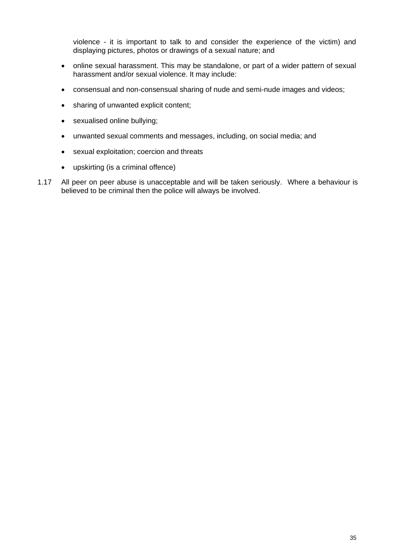violence - it is important to talk to and consider the experience of the victim) and displaying pictures, photos or drawings of a sexual nature; and

- online sexual harassment. This may be standalone, or part of a wider pattern of sexual harassment and/or sexual violence. It may include:
- consensual and non-consensual sharing of nude and semi-nude images and videos;
- sharing of unwanted explicit content;
- sexualised online bullying;
- unwanted sexual comments and messages, including, on social media; and
- sexual exploitation; coercion and threats
- upskirting (is a criminal offence)
- 1.17 All peer on peer abuse is unacceptable and will be taken seriously. Where a behaviour is believed to be criminal then the police will always be involved.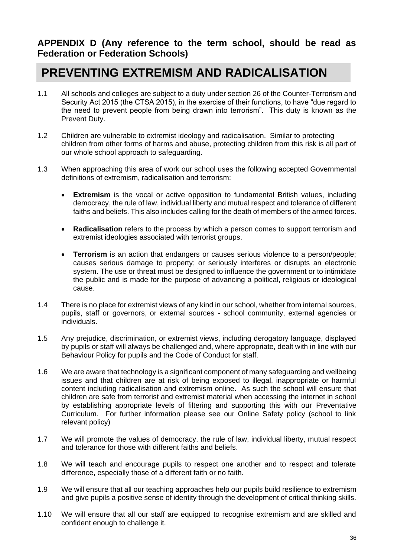### **APPENDIX D (Any reference to the term school, should be read as Federation or Federation Schools)**

## **PREVENTING EXTREMISM AND RADICALISATION**

- 1.1 All schools and colleges are subject to a duty under section 26 of the Counter-Terrorism and Security Act 2015 (the CTSA 2015), in the exercise of their functions, to have "due regard to the need to prevent people from being drawn into terrorism". This duty is known as the Prevent Duty.
- 1.2 Children are vulnerable to extremist ideology and radicalisation. Similar to protecting children from other forms of harms and abuse, protecting children from this risk is all part of our whole school approach to safeguarding.
- 1.3 When approaching this area of work our school uses the following accepted Governmental definitions of extremism, radicalisation and terrorism:
	- **Extremism** is the vocal or active opposition to fundamental British values, including democracy, the rule of law, individual liberty and mutual respect and tolerance of different faiths and beliefs. This also includes calling for the death of members of the armed forces.
	- **Radicalisation** refers to the process by which a person comes to support terrorism and extremist ideologies associated with terrorist groups.
	- **Terrorism** is an action that endangers or causes serious violence to a person/people; causes serious damage to property; or seriously interferes or disrupts an electronic system. The use or threat must be designed to influence the government or to intimidate the public and is made for the purpose of advancing a political, religious or ideological cause.
- 1.4 There is no place for extremist views of any kind in our school, whether from internal sources, pupils, staff or governors, or external sources - school community, external agencies or individuals.
- 1.5 Any prejudice, discrimination, or extremist views, including derogatory language, displayed by pupils or staff will always be challenged and, where appropriate, dealt with in line with our Behaviour Policy for pupils and the Code of Conduct for staff.
- 1.6 We are aware that technology is a significant component of many safeguarding and wellbeing issues and that children are at risk of being exposed to illegal, inappropriate or harmful content including radicalisation and extremism online. As such the school will ensure that children are safe from terrorist and extremist material when accessing the internet in school by establishing appropriate levels of filtering and supporting this with our Preventative Curriculum. For further information please see our Online Safety policy (school to link relevant policy)
- 1.7 We will promote the values of democracy, the rule of law, individual liberty, mutual respect and tolerance for those with different faiths and beliefs.
- 1.8 We will teach and encourage pupils to respect one another and to respect and tolerate difference, especially those of a different faith or no faith.
- 1.9 We will ensure that all our teaching approaches help our pupils build resilience to extremism and give pupils a positive sense of identity through the development of critical thinking skills.
- 1.10 We will ensure that all our staff are equipped to recognise extremism and are skilled and confident enough to challenge it.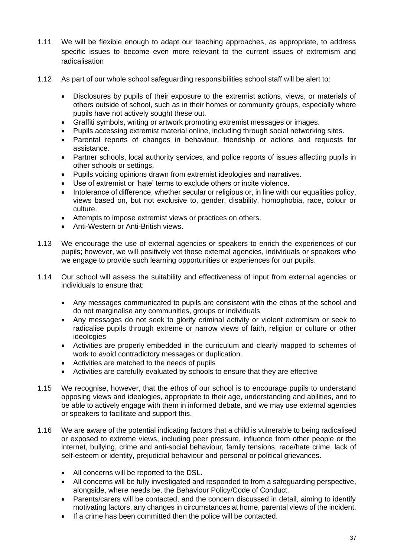- 1.11 We will be flexible enough to adapt our teaching approaches, as appropriate, to address specific issues to become even more relevant to the current issues of extremism and radicalisation
- 1.12 As part of our whole school safeguarding responsibilities school staff will be alert to:
	- Disclosures by pupils of their exposure to the extremist actions, views, or materials of others outside of school, such as in their homes or community groups, especially where pupils have not actively sought these out.
	- Graffiti symbols, writing or artwork promoting extremist messages or images.
	- Pupils accessing extremist material online, including through social networking sites.
	- Parental reports of changes in behaviour, friendship or actions and requests for assistance.
	- Partner schools, local authority services, and police reports of issues affecting pupils in other schools or settings.
	- Pupils voicing opinions drawn from extremist ideologies and narratives.
	- Use of extremist or 'hate' terms to exclude others or incite violence.
	- Intolerance of difference, whether secular or religious or, in line with our equalities policy, views based on, but not exclusive to, gender, disability, homophobia, race, colour or culture.
	- Attempts to impose extremist views or practices on others.
	- Anti-Western or Anti-British views.
- 1.13 We encourage the use of external agencies or speakers to enrich the experiences of our pupils; however, we will positively vet those external agencies, individuals or speakers who we engage to provide such learning opportunities or experiences for our pupils.
- 1.14 Our school will assess the suitability and effectiveness of input from external agencies or individuals to ensure that:
	- Any messages communicated to pupils are consistent with the ethos of the school and do not marginalise any communities, groups or individuals
	- Any messages do not seek to glorify criminal activity or violent extremism or seek to radicalise pupils through extreme or narrow views of faith, religion or culture or other ideologies
	- Activities are properly embedded in the curriculum and clearly mapped to schemes of work to avoid contradictory messages or duplication.
	- Activities are matched to the needs of pupils
	- Activities are carefully evaluated by schools to ensure that they are effective
- 1.15 We recognise, however, that the ethos of our school is to encourage pupils to understand opposing views and ideologies, appropriate to their age, understanding and abilities, and to be able to actively engage with them in informed debate, and we may use external agencies or speakers to facilitate and support this.
- 1.16 We are aware of the potential indicating factors that a child is vulnerable to being radicalised or exposed to extreme views, including peer pressure, influence from other people or the internet, bullying, crime and anti-social behaviour, family tensions, race/hate crime, lack of self-esteem or identity, prejudicial behaviour and personal or political grievances.
	- All concerns will be reported to the DSL.
	- All concerns will be fully investigated and responded to from a safeguarding perspective, alongside, where needs be, the Behaviour Policy/Code of Conduct.
	- Parents/carers will be contacted, and the concern discussed in detail, aiming to identify motivating factors, any changes in circumstances at home, parental views of the incident.
	- If a crime has been committed then the police will be contacted.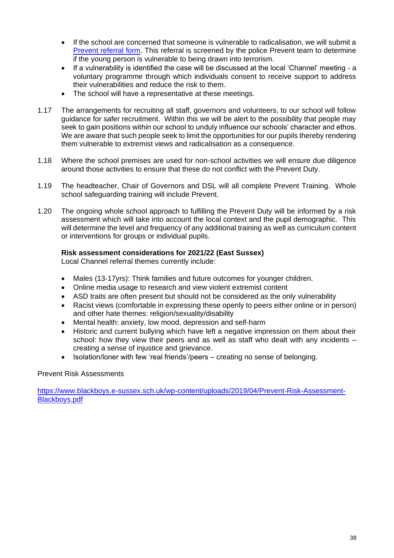- If the school are concerned that someone is vulnerable to radicalisation, we will submit a [Prevent referral form.](https://czone.eastsussex.gov.uk/media/5854/appendix-a-prevent-national-referral-form.docx) This referral is screened by the police Prevent team to determine if the young person is vulnerable to being drawn into terrorism.
- If a vulnerability is identified the case will be discussed at the local 'Channel' meeting a voluntary programme through which individuals consent to receive support to address their vulnerabilities and reduce the risk to them.
- The school will have a representative at these meetings.
- 1.17 The arrangements for recruiting all staff, governors and volunteers, to our school will follow guidance for safer recruitment. Within this we will be alert to the possibility that people may seek to gain positions within our school to unduly influence our schools' character and ethos. We are aware that such people seek to limit the opportunities for our pupils thereby rendering them vulnerable to extremist views and radicalisation as a consequence.
- 1.18 Where the school premises are used for non-school activities we will ensure due diligence around those activities to ensure that these do not conflict with the Prevent Duty.
- 1.19 The headteacher, Chair of Governors and DSL will all complete Prevent Training. Whole school safeguarding training will include Prevent.
- 1.20 The ongoing whole school approach to fulfilling the Prevent Duty will be informed by a risk assessment which will take into account the local context and the pupil demographic. This will determine the level and frequency of any additional training as well as curriculum content or interventions for groups or individual pupils.

#### **Risk assessment considerations for 2021/22 (East Sussex)**

Local Channel referral themes currently include:

- Males (13-17yrs): Think families and future outcomes for younger children.
- Online media usage to research and view violent extremist content
- ASD traits are often present but should not be considered as the only vulnerability
- Racist views (comfortable in expressing these openly to peers either online or in person) and other hate themes: religion/sexuality/disability
- Mental health: anxiety, low mood, depression and self-harm
- Historic and current bullying which have left a negative impression on them about their school: how they view their peers and as well as staff who dealt with any incidents – creating a sense of injustice and grievance.
- Isolation/loner with few 'real friends'/peers creating no sense of belonging.

#### Prevent Risk Assessments

[https://www.blackboys.e-sussex.sch.uk/wp-content/uploads/2019/04/Prevent-Risk-Assessment-](https://www.blackboys.e-sussex.sch.uk/wp-content/uploads/2019/04/Prevent-Risk-Assessment-Blackboys.pdf)[Blackboys.pdf](https://www.blackboys.e-sussex.sch.uk/wp-content/uploads/2019/04/Prevent-Risk-Assessment-Blackboys.pdf)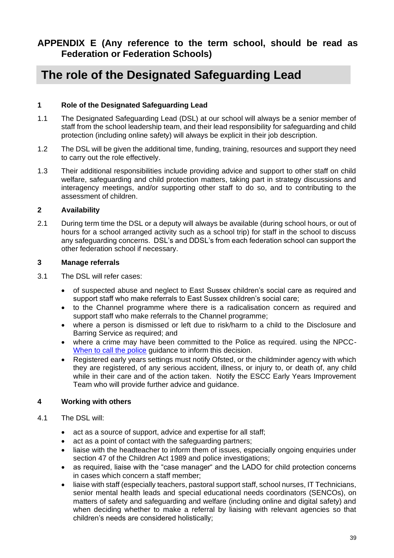## **APPENDIX E (Any reference to the term school, should be read as Federation or Federation Schools)**

## **The role of the Designated Safeguarding Lead**

#### **1 Role of the Designated Safeguarding Lead**

- 1.1 The Designated Safeguarding Lead (DSL) at our school will always be a senior member of staff from the school leadership team, and their lead responsibility for safeguarding and child protection (including online safety) will always be explicit in their job description.
- 1.2 The DSL will be given the additional time, funding, training, resources and support they need to carry out the role effectively.
- 1.3 Their additional responsibilities include providing advice and support to other staff on child welfare, safeguarding and child protection matters, taking part in strategy discussions and interagency meetings, and/or supporting other staff to do so, and to contributing to the assessment of children.

#### **2 Availability**

2.1 During term time the DSL or a deputy will always be available (during school hours, or out of hours for a school arranged activity such as a school trip) for staff in the school to discuss any safeguarding concerns. DSL's and DDSL's from each federation school can support the other federation school if necessary.

#### **3 Manage referrals**

- 3.1 The DSL will refer cases:
	- of suspected abuse and neglect to East Sussex children's social care as required and support staff who make referrals to East Sussex children's social care;
	- to the Channel programme where there is a radicalisation concern as required and support staff who make referrals to the Channel programme;
	- where a person is dismissed or left due to risk/harm to a child to the Disclosure and Barring Service as required; and
	- where a crime may have been committed to the Police as required. using the NPCC-[When to call the police](https://www.npcc.police.uk/documents/Children%20and%20Young%20People) guidance to inform this decision.
	- Registered early years settings must notify Ofsted, or the childminder agency with which they are registered, of any serious accident, illness, or injury to, or death of, any child while in their care and of the action taken. Notify the ESCC Early Years Improvement Team who will provide further advice and guidance.

#### **4 Working with others**

- 4.1 The DSL will:
	- act as a source of support, advice and expertise for all staff;
	- act as a point of contact with the safeguarding partners;
	- liaise with the headteacher to inform them of issues, especially ongoing enquiries under section 47 of the Children Act 1989 and police investigations;
	- as required, liaise with the "case manager" and the LADO for child protection concerns in cases which concern a staff member;
	- liaise with staff (especially teachers, pastoral support staff, school nurses, IT Technicians, senior mental health leads and special educational needs coordinators (SENCOs), on matters of safety and safeguarding and welfare (including online and digital safety) and when deciding whether to make a referral by liaising with relevant agencies so that children's needs are considered holistically;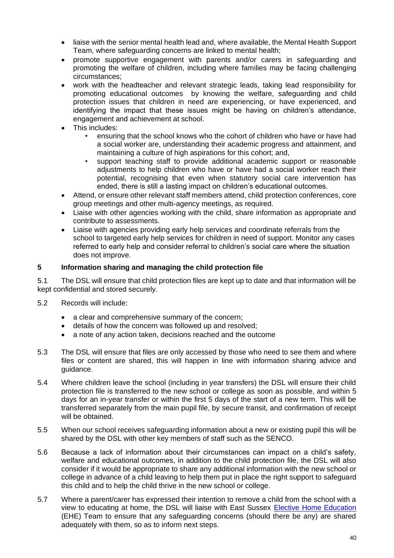- liaise with the senior mental health lead and, where available, the Mental Health Support Team, where safeguarding concerns are linked to mental health;
- promote supportive engagement with parents and/or carers in safeguarding and promoting the welfare of children, including where families may be facing challenging circumstances;
- work with the headteacher and relevant strategic leads, taking lead responsibility for promoting educational outcomes by knowing the welfare, safeguarding and child protection issues that children in need are experiencing, or have experienced, and identifying the impact that these issues might be having on children's attendance, engagement and achievement at school.
- This includes:
	- ensuring that the school knows who the cohort of children who have or have had a social worker are, understanding their academic progress and attainment, and maintaining a culture of high aspirations for this cohort; and,
	- support teaching staff to provide additional academic support or reasonable adjustments to help children who have or have had a social worker reach their potential, recognising that even when statutory social care intervention has ended, there is still a lasting impact on children's educational outcomes.
- Attend, or ensure other relevant staff members attend, child protection conferences, core group meetings and other multi-agency meetings, as required.
- Liaise with other agencies working with the child, share information as appropriate and contribute to assessments.
- Liaise with agencies providing early help services and coordinate referrals from the school to targeted early help services for children in need of support. Monitor any cases referred to early help and consider referral to children's social care where the situation does not improve.

#### **5 Information sharing and managing the child protection file**

5.1 The DSL will ensure that child protection files are kept up to date and that information will be kept confidential and stored securely.

- 5.2 Records will include:
	- a clear and comprehensive summary of the concern;
	- details of how the concern was followed up and resolved;
	- a note of any action taken, decisions reached and the outcome
- 5.3 The DSL will ensure that files are only accessed by those who need to see them and where files or content are shared, this will happen in line with information sharing advice and guidance.
- 5.4 Where children leave the school (including in year transfers) the DSL will ensure their child protection file is transferred to the new school or college as soon as possible, and within 5 days for an in-year transfer or within the first 5 days of the start of a new term. This will be transferred separately from the main pupil file, by secure transit, and confirmation of receipt will be obtained.
- 5.5 When our school receives safeguarding information about a new or existing pupil this will be shared by the DSL with other key members of staff such as the SENCO.
- 5.6 Because a lack of information about their circumstances can impact on a child's safety, welfare and educational outcomes, in addition to the child protection file, the DSL will also consider if it would be appropriate to share any additional information with the new school or college in advance of a child leaving to help them put in place the right support to safeguard this child and to help the child thrive in the new school or college.
- 5.7 Where a parent/carer has expressed their intention to remove a child from the school with a view to educating at home, the DSL will liaise with East Sussex [Elective Home Education](https://czone.eastsussex.gov.uk/student-management/attendance-behaviour/home-education/considering/) (EHE) Team to ensure that any safeguarding concerns (should there be any) are shared adequately with them, so as to inform next steps.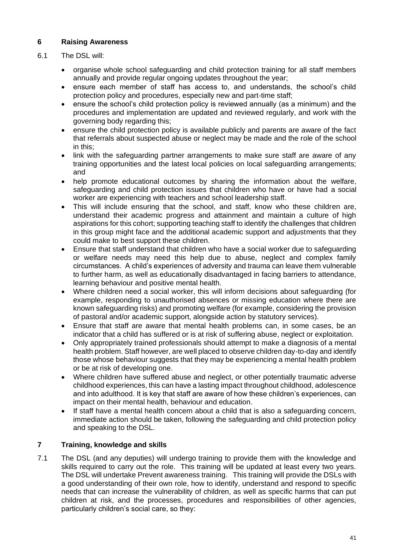#### **6 Raising Awareness**

#### 6.1 The DSL will:

- organise whole school safeguarding and child protection training for all staff members annually and provide regular ongoing updates throughout the year;
- ensure each member of staff has access to, and understands, the school's child protection policy and procedures, especially new and part-time staff;
- ensure the school's child protection policy is reviewed annually (as a minimum) and the procedures and implementation are updated and reviewed regularly, and work with the governing body regarding this;
- ensure the child protection policy is available publicly and parents are aware of the fact that referrals about suspected abuse or neglect may be made and the role of the school in this;
- link with the safeguarding partner arrangements to make sure staff are aware of any training opportunities and the latest local policies on local safeguarding arrangements; and
- help promote educational outcomes by sharing the information about the welfare, safeguarding and child protection issues that children who have or have had a social worker are experiencing with teachers and school leadership staff.
- This will include ensuring that the school, and staff, know who these children are, understand their academic progress and attainment and maintain a culture of high aspirations for this cohort; supporting teaching staff to identify the challenges that children in this group might face and the additional academic support and adjustments that they could make to best support these children.
- Ensure that staff understand that children who have a social worker due to safeguarding or welfare needs may need this help due to abuse, neglect and complex family circumstances. A child's experiences of adversity and trauma can leave them vulnerable to further harm, as well as educationally disadvantaged in facing barriers to attendance, learning behaviour and positive mental health.
- Where children need a social worker, this will inform decisions about safeguarding (for example, responding to unauthorised absences or missing education where there are known safeguarding risks) and promoting welfare (for example, considering the provision of pastoral and/or academic support, alongside action by statutory services).
- Ensure that staff are aware that mental health problems can, in some cases, be an indicator that a child has suffered or is at risk of suffering abuse, neglect or exploitation.
- Only appropriately trained professionals should attempt to make a diagnosis of a mental health problem. Staff however, are well placed to observe children day-to-day and identify those whose behaviour suggests that they may be experiencing a mental health problem or be at risk of developing one.
- Where children have suffered abuse and neglect, or other potentially traumatic adverse childhood experiences, this can have a lasting impact throughout childhood, adolescence and into adulthood. It is key that staff are aware of how these children's experiences, can impact on their mental health, behaviour and education.
- If staff have a mental health concern about a child that is also a safeguarding concern, immediate action should be taken, following the safeguarding and child protection policy and speaking to the DSL.

#### **7 Training, knowledge and skills**

7.1 The DSL (and any deputies) will undergo training to provide them with the knowledge and skills required to carry out the role. This training will be updated at least every two years. The DSL will undertake Prevent awareness training. This training will provide the DSLs with a good understanding of their own role, how to identify, understand and respond to specific needs that can increase the vulnerability of children, as well as specific harms that can put children at risk, and the processes, procedures and responsibilities of other agencies, particularly children's social care, so they: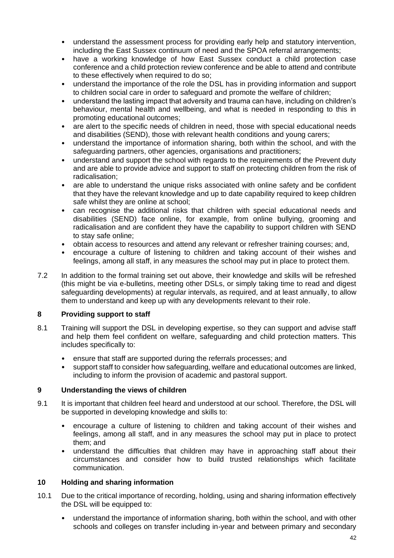- understand the assessment process for providing early help and statutory intervention, including the East Sussex continuum of need and the SPOA referral arrangements;
- have a working knowledge of how East Sussex conduct a child protection case conference and a child protection review conference and be able to attend and contribute to these effectively when required to do so;
- understand the importance of the role the DSL has in providing information and support to children social care in order to safeguard and promote the welfare of children;
- understand the lasting impact that adversity and trauma can have, including on children's behaviour, mental health and wellbeing, and what is needed in responding to this in promoting educational outcomes;
- are alert to the specific needs of children in need, those with special educational needs and disabilities (SEND), those with relevant health conditions and young carers;
- understand the importance of information sharing, both within the school, and with the safeguarding partners, other agencies, organisations and practitioners;
- understand and support the school with regards to the requirements of the Prevent duty and are able to provide advice and support to staff on protecting children from the risk of radicalisation;
- are able to understand the unique risks associated with online safety and be confident that they have the relevant knowledge and up to date capability required to keep children safe whilst they are online at school;
- can recognise the additional risks that children with special educational needs and disabilities (SEND) face online, for example, from online bullying, grooming and radicalisation and are confident they have the capability to support children with SEND to stay safe online;
- obtain access to resources and attend any relevant or refresher training courses; and,
- encourage a culture of listening to children and taking account of their wishes and feelings, among all staff, in any measures the school may put in place to protect them.
- 7.2 In addition to the formal training set out above, their knowledge and skills will be refreshed (this might be via e-bulletins, meeting other DSLs, or simply taking time to read and digest safeguarding developments) at regular intervals, as required, and at least annually, to allow them to understand and keep up with any developments relevant to their role.

#### **8 Providing support to staff**

- 8.1 Training will support the DSL in developing expertise, so they can support and advise staff and help them feel confident on welfare, safeguarding and child protection matters. This includes specifically to:
	- ensure that staff are supported during the referrals processes; and
	- support staff to consider how safeguarding, welfare and educational outcomes are linked, including to inform the provision of academic and pastoral support.

#### **9 Understanding the views of children**

- 9.1 It is important that children feel heard and understood at our school. Therefore, the DSL will be supported in developing knowledge and skills to:
	- encourage a culture of listening to children and taking account of their wishes and feelings, among all staff, and in any measures the school may put in place to protect them; and
	- understand the difficulties that children may have in approaching staff about their circumstances and consider how to build trusted relationships which facilitate communication.

#### **10 Holding and sharing information**

- 10.1 Due to the critical importance of recording, holding, using and sharing information effectively the DSL will be equipped to:
	- understand the importance of information sharing, both within the school, and with other schools and colleges on transfer including in-year and between primary and secondary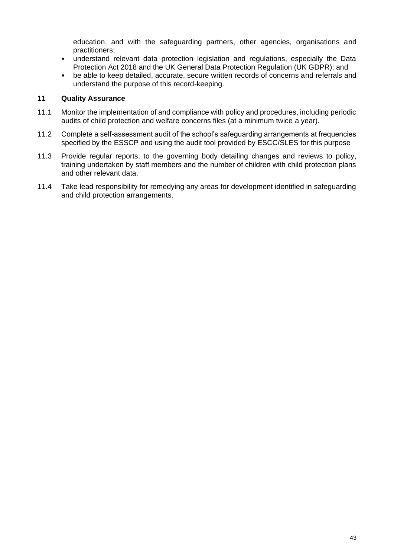education, and with the safeguarding partners, other agencies, organisations and practitioners;

- understand relevant data protection legislation and regulations, especially the Data Protection Act 2018 and the UK General Data Protection Regulation (UK GDPR); and
- be able to keep detailed, accurate, secure written records of concerns and referrals and understand the purpose of this record-keeping.

#### **11 Quality Assurance**

- 11.1 Monitor the implementation of and compliance with policy and procedures, including periodic audits of child protection and welfare concerns files (at a minimum twice a year).
- 11.2 Complete a self-assessment audit of the school's safeguarding arrangements at frequencies specified by the ESSCP and using the audit tool provided by ESCC/SLES for this purpose
- 11.3 Provide regular reports, to the governing body detailing changes and reviews to policy, training undertaken by staff members and the number of children with child protection plans and other relevant data.
- 11.4 Take lead responsibility for remedying any areas for development identified in safeguarding and child protection arrangements.